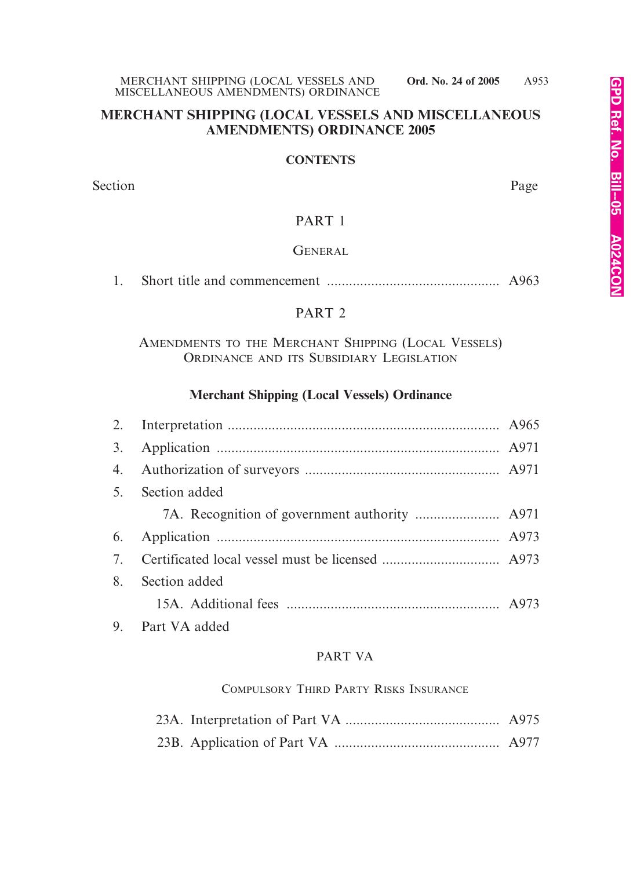#### **MERCHANT SHIPPING (LOCAL VESSELS AND MISCELLANEOUS AMENDMENTS) ORDINANCE 2005**

#### **CONTENTS**

Section Page

#### PART 1

#### **GENERAL**

1. Short title and commencement ............................................... A963

#### PART 2

# AMENDMENTS TO THE MERCHANT SHIPPING (LOCAL VESSELS) ORDINANCE AND ITS SUBSIDIARY LEGISLATION

# **Merchant Shipping (Local Vessels) Ordinance**

|    | 5. Section added |  |
|----|------------------|--|
|    |                  |  |
|    |                  |  |
|    |                  |  |
| 8. | Section added    |  |
|    |                  |  |
|    | 9. Part VA added |  |

#### PART VA

#### COMPULSORY THIRD PARTY RISKS INSURANCE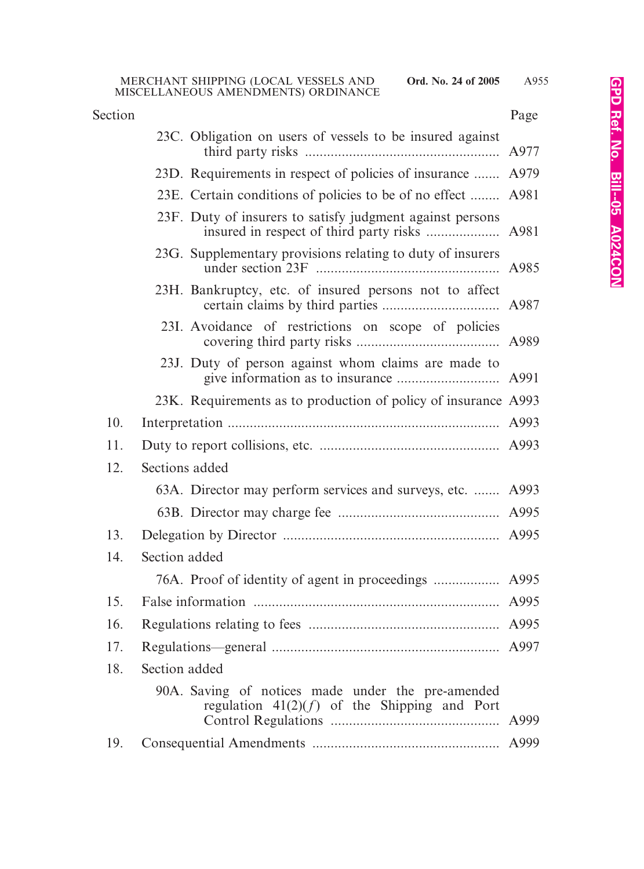| Section |                                                                                                     | Page |
|---------|-----------------------------------------------------------------------------------------------------|------|
|         | 23C. Obligation on users of vessels to be insured against                                           |      |
|         | 23D. Requirements in respect of policies of insurance  A979                                         |      |
|         | 23E. Certain conditions of policies to be of no effect  A981                                        |      |
|         | 23F. Duty of insurers to satisfy judgment against persons                                           |      |
|         | 23G. Supplementary provisions relating to duty of insurers                                          | A985 |
|         | 23H. Bankruptcy, etc. of insured persons not to affect                                              |      |
|         | 23I. Avoidance of restrictions on scope of policies                                                 |      |
|         | 23J. Duty of person against whom claims are made to                                                 |      |
|         | 23K. Requirements as to production of policy of insurance A993                                      |      |
| 10.     |                                                                                                     | A993 |
| 11.     |                                                                                                     |      |
| 12.     | Sections added                                                                                      |      |
|         | 63A. Director may perform services and surveys, etc.  A993                                          |      |
|         |                                                                                                     |      |
| 13.     |                                                                                                     |      |
| 14.     | Section added                                                                                       |      |
|         |                                                                                                     |      |
| 15.     |                                                                                                     |      |
| 16.     |                                                                                                     |      |
| 17.     |                                                                                                     |      |
| 18.     | Section added                                                                                       |      |
|         | 90A. Saving of notices made under the pre-amended<br>regulation $41(2)(f)$ of the Shipping and Port | A999 |
| 19.     |                                                                                                     |      |
|         |                                                                                                     |      |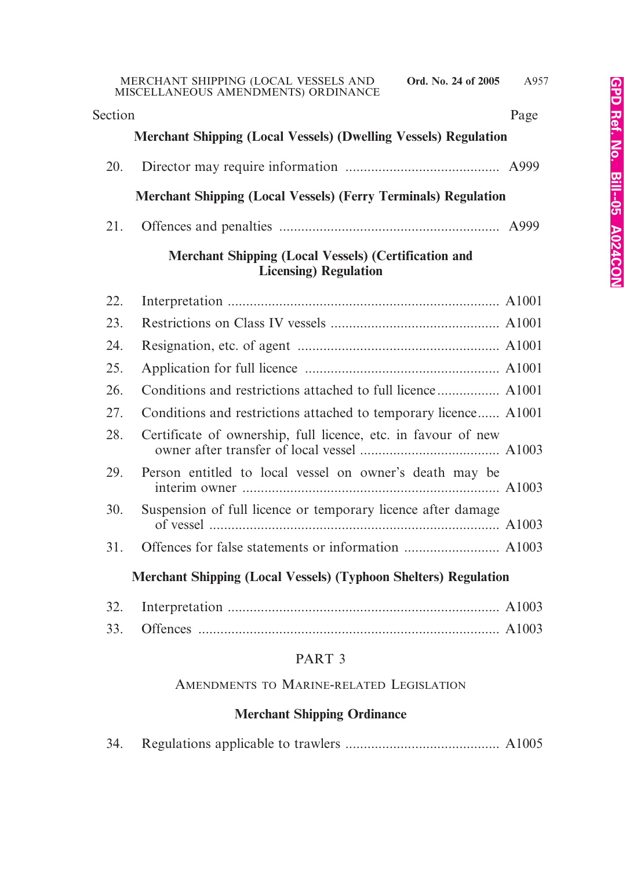| Section | Page                                                                                         |
|---------|----------------------------------------------------------------------------------------------|
|         | <b>Merchant Shipping (Local Vessels) (Dwelling Vessels) Regulation</b>                       |
| 20.     |                                                                                              |
|         | <b>Merchant Shipping (Local Vessels) (Ferry Terminals) Regulation</b>                        |
| 21.     |                                                                                              |
|         | <b>Merchant Shipping (Local Vessels) (Certification and</b><br><b>Licensing</b> ) Regulation |
| 22.     |                                                                                              |
| 23.     |                                                                                              |
| 24.     |                                                                                              |
| 25.     |                                                                                              |
| 26.     |                                                                                              |
| 27.     | Conditions and restrictions attached to temporary licence A1001                              |
| 28.     | Certificate of ownership, full licence, etc. in favour of new                                |
| 29.     | Person entitled to local vessel on owner's death may be                                      |
| 30.     | Suspension of full licence or temporary licence after damage                                 |
| 31.     |                                                                                              |
|         | <b>Merchant Shipping (Local Vessels) (Typhoon Shelters) Regulation</b>                       |
| 32.     |                                                                                              |
| 33.     |                                                                                              |

# PART 3

# AMENDMENTS TO MARINE-RELATED LEGISLATION

# **Merchant Shipping Ordinance**

|--|--|--|--|--|--|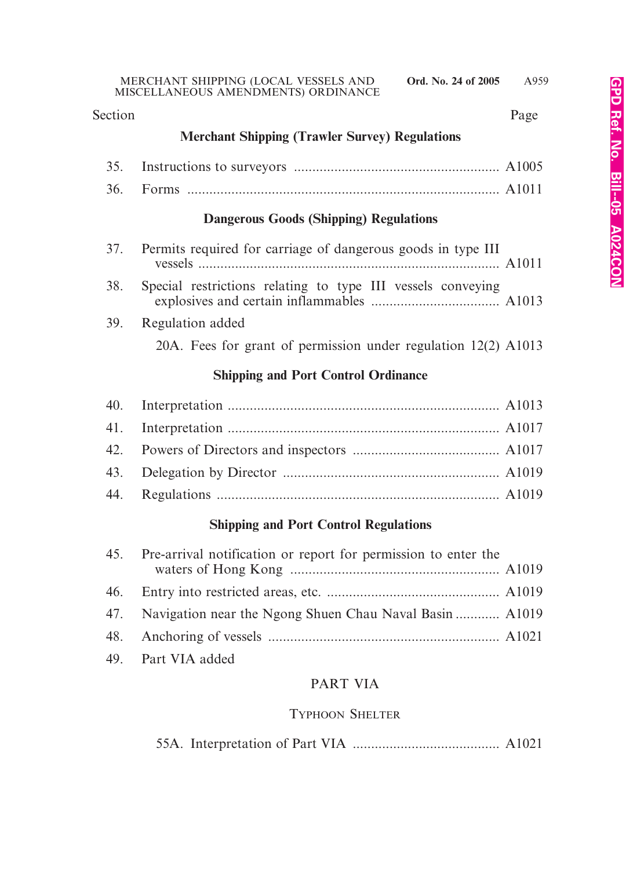#### Section Page

# **Merchant Shipping (Trawler Survey) Regulations**

# **Dangerous Goods (Shipping) Regulations**

| 37. Permits required for carriage of dangerous goods in type III |
|------------------------------------------------------------------|
| 38. Special restrictions relating to type III vessels conveying  |
| 39. Regulation added                                             |

# 20A. Fees for grant of permission under regulation 12(2) A1013

# **Shipping and Port Control Ordinance**

# **Shipping and Port Control Regulations**

| 45. Pre-arrival notification or report for permission to enter the |  |
|--------------------------------------------------------------------|--|
|                                                                    |  |
| 47. Navigation near the Ngong Shuen Chau Naval Basin  A1019        |  |
|                                                                    |  |
| 49. Part VIA added                                                 |  |

# PART VIA

# TYPHOON SHELTER

|--|--|--|--|--|--|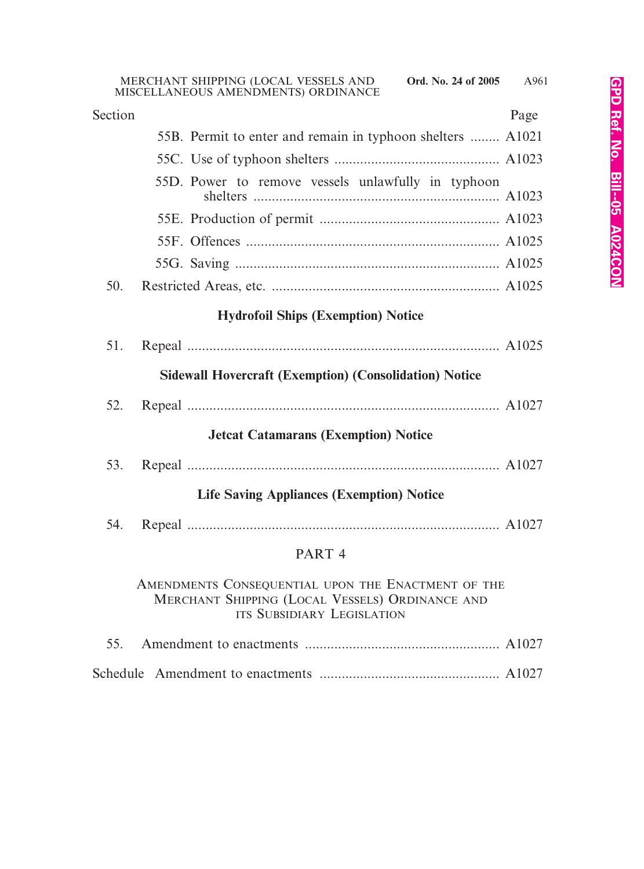| Section |                                                                                                                                     | Page |
|---------|-------------------------------------------------------------------------------------------------------------------------------------|------|
|         | 55B. Permit to enter and remain in typhoon shelters  A1021                                                                          |      |
|         |                                                                                                                                     |      |
|         | 55D. Power to remove vessels unlawfully in typhoon                                                                                  |      |
|         |                                                                                                                                     |      |
|         |                                                                                                                                     |      |
|         |                                                                                                                                     |      |
| 50.     |                                                                                                                                     |      |
|         | <b>Hydrofoil Ships (Exemption) Notice</b>                                                                                           |      |
| 51.     |                                                                                                                                     |      |
|         | <b>Sidewall Hovercraft (Exemption) (Consolidation) Notice</b>                                                                       |      |
| 52.     |                                                                                                                                     |      |
|         | <b>Jetcat Catamarans (Exemption) Notice</b>                                                                                         |      |
| 53.     |                                                                                                                                     |      |
|         | <b>Life Saving Appliances (Exemption) Notice</b>                                                                                    |      |
| 54.     |                                                                                                                                     |      |
|         | PART <sub>4</sub>                                                                                                                   |      |
|         | AMENDMENTS CONSEQUENTIAL UPON THE ENACTMENT OF THE<br>MERCHANT SHIPPING (LOCAL VESSELS) ORDINANCE AND<br>ITS SUBSIDIARY LEGISLATION |      |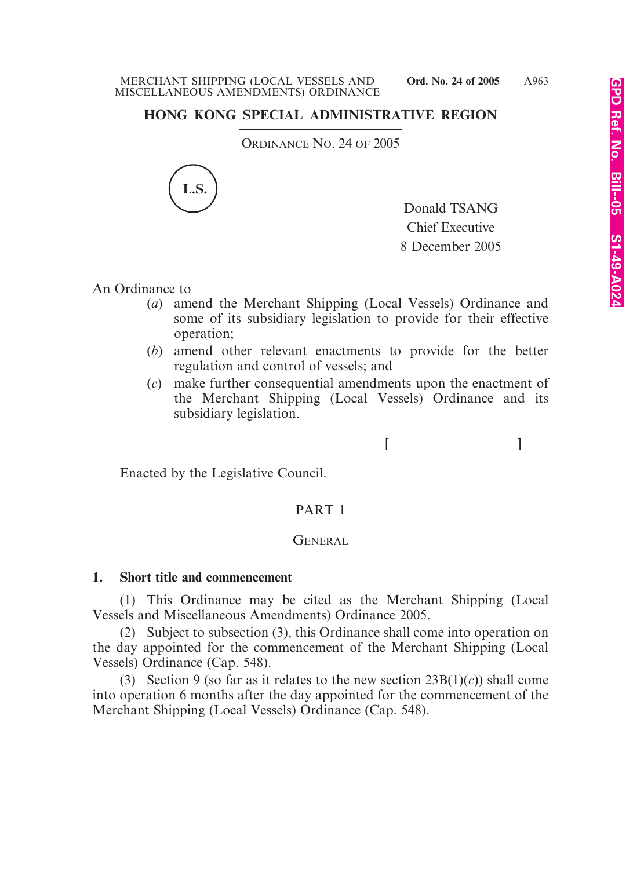# **HONG KONG SPECIAL ADMINISTRATIVE REGION**

ORDINANCE NO. 24 OF 2005



Donald TSANG Chief Executive 8 December 2005

 $[$   $]$ 

An Ordinance to—

- (*a*) amend the Merchant Shipping (Local Vessels) Ordinance and some of its subsidiary legislation to provide for their effective operation;
- (*b*) amend other relevant enactments to provide for the better regulation and control of vessels; and
- (*c*) make further consequential amendments upon the enactment of the Merchant Shipping (Local Vessels) Ordinance and its subsidiary legislation.

Enacted by the Legislative Council.

# PART 1

#### GENERAL.

#### **1. Short title and commencement**

(1) This Ordinance may be cited as the Merchant Shipping (Local Vessels and Miscellaneous Amendments) Ordinance 2005.

(2) Subject to subsection (3), this Ordinance shall come into operation on the day appointed for the commencement of the Merchant Shipping (Local Vessels) Ordinance (Cap. 548).

(3) Section 9 (so far as it relates to the new section  $23B(1)(c)$ ) shall come into operation 6 months after the day appointed for the commencement of the Merchant Shipping (Local Vessels) Ordinance (Cap. 548).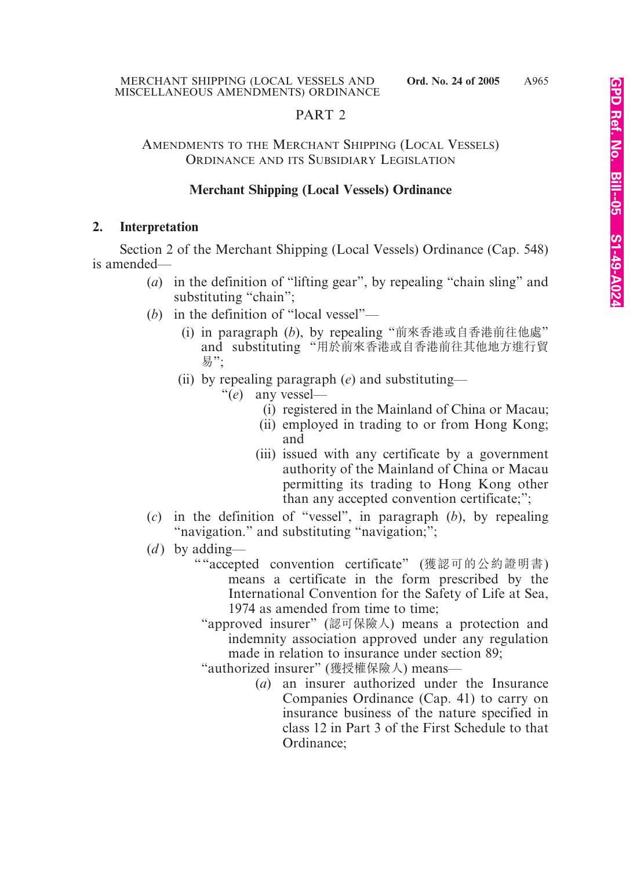# PART 2

#### AMENDMENTS TO THE MERCHANT SHIPPING (LOCAL VESSELS) ORDINANCE AND ITS SUBSIDIARY LEGISLATION

#### **Merchant Shipping (Local Vessels) Ordinance**

#### **2. Interpretation**

Section 2 of the Merchant Shipping (Local Vessels) Ordinance (Cap. 548) is amended—

- (*a*) in the definition of "lifting gear", by repealing "chain sling" and substituting "chain";
- (*b*) in the definition of "local vessel"—
	- (i) in paragraph (*b*), by repealing "前來香港或自香港前往他處" and substituting "用於前來香港或自香港前往其他地方進行貿 易";
	- (ii) by repealing paragraph (*e*) and substituting—
		- "(*e*) any vessel—
			- (i) registered in the Mainland of China or Macau;
			- (ii) employed in trading to or from Hong Kong; and
			- (iii) issued with any certificate by a government authority of the Mainland of China or Macau permitting its trading to Hong Kong other than any accepted convention certificate;";
- (*c*) in the definition of "vessel", in paragraph (*b*), by repealing "navigation." and substituting "navigation;";
- (*d*) by adding—
	- ""accepted convention certificate" (獲認可的公約證明書) means a certificate in the form prescribed by the International Convention for the Safety of Life at Sea, 1974 as amended from time to time;
		- "approved insurer" (認可保險人) means a protection and indemnity association approved under any regulation made in relation to insurance under section 89;
		- "authorized insurer" (獲授權保險人) means—
			- (*a*) an insurer authorized under the Insurance Companies Ordinance (Cap. 41) to carry on insurance business of the nature specified in class 12 in Part 3 of the First Schedule to that Ordinance;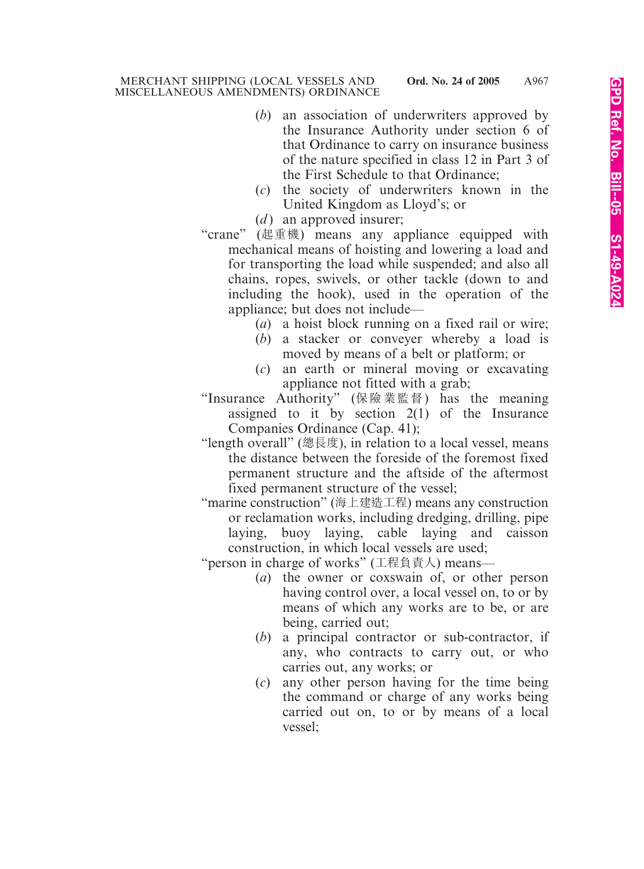- (*b*) an association of underwriters approved by the Insurance Authority under section 6 of that Ordinance to carry on insurance business of the nature specified in class 12 in Part 3 of the First Schedule to that Ordinance;
- (*c*) the society of underwriters known in the United Kingdom as Lloyd's; or
- $(d)$  an approved insurer;
- "crane" (起重機) means any appliance equipped with mechanical means of hoisting and lowering a load and for transporting the load while suspended; and also all chains, ropes, swivels, or other tackle (down to and including the hook), used in the operation of the appliance; but does not include—
	- (*a*) a hoist block running on a fixed rail or wire;
	- (*b*) a stacker or conveyer whereby a load is moved by means of a belt or platform; or
	- (*c*) an earth or mineral moving or excavating appliance not fitted with a grab;

"Insurance Authority" (保險業監督) has the meaning assigned to it by section  $2(1)$  of the Insurance Companies Ordinance (Cap. 41);

- "length overall" (總長度), in relation to a local vessel, means the distance between the foreside of the foremost fixed permanent structure and the aftside of the aftermost fixed permanent structure of the vessel;
- "marine construction" (海上建造工程) means any construction or reclamation works, including dredging, drilling, pipe laying, buoy laying, cable laying and caisson construction, in which local vessels are used;

"person in charge of works" (工程負責人) means—

- (*a*) the owner or coxswain of, or other person having control over, a local vessel on, to or by means of which any works are to be, or are being, carried out;
- (*b*) a principal contractor or sub-contractor, if any, who contracts to carry out, or who carries out, any works; or
- (*c*) any other person having for the time being the command or charge of any works being carried out on, to or by means of a local vessel;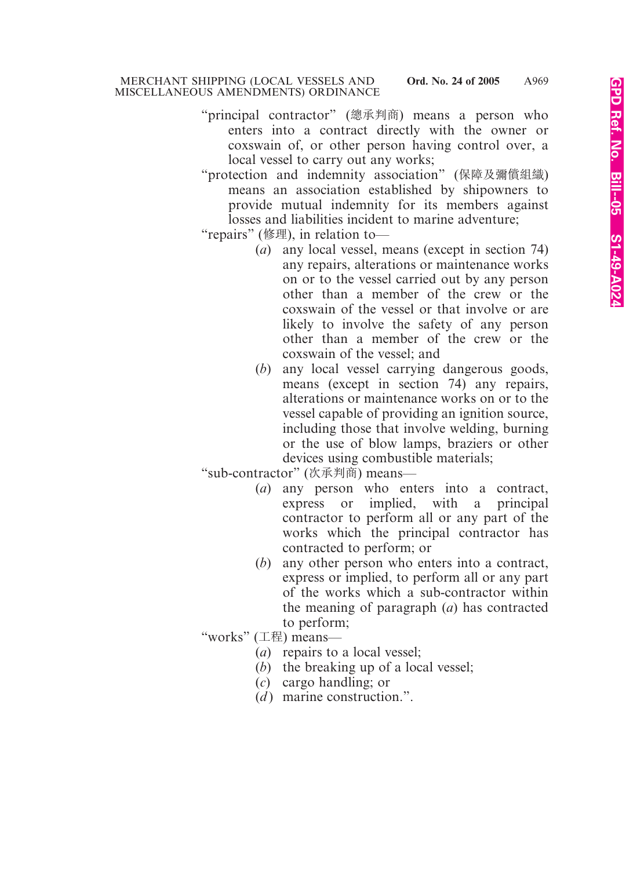- "principal contractor" (總承判商) means a person who enters into a contract directly with the owner or coxswain of, or other person having control over, a local vessel to carry out any works;
- "protection and indemnity association" (保障及彌償組織) means an association established by shipowners to provide mutual indemnity for its members against losses and liabilities incident to marine adventure;
- "repairs" (修理), in relation to—
	- (*a*) any local vessel, means (except in section 74) any repairs, alterations or maintenance works on or to the vessel carried out by any person other than a member of the crew or the coxswain of the vessel or that involve or are likely to involve the safety of any person other than a member of the crew or the coxswain of the vessel; and
	- (*b*) any local vessel carrying dangerous goods, means (except in section 74) any repairs, alterations or maintenance works on or to the vessel capable of providing an ignition source, including those that involve welding, burning or the use of blow lamps, braziers or other devices using combustible materials;

"sub-contractor" (次承判商) means—

- (*a*) any person who enters into a contract, express or implied, with a principal contractor to perform all or any part of the works which the principal contractor has contracted to perform; or
- (*b*) any other person who enters into a contract, express or implied, to perform all or any part of the works which a sub-contractor within the meaning of paragraph (*a*) has contracted to perform;
- "works" (工程) means—
	- (*a*) repairs to a local vessel;
	- (*b*) the breaking up of a local vessel;
	- (*c*) cargo handling; or
	- $(d)$  marine construction.".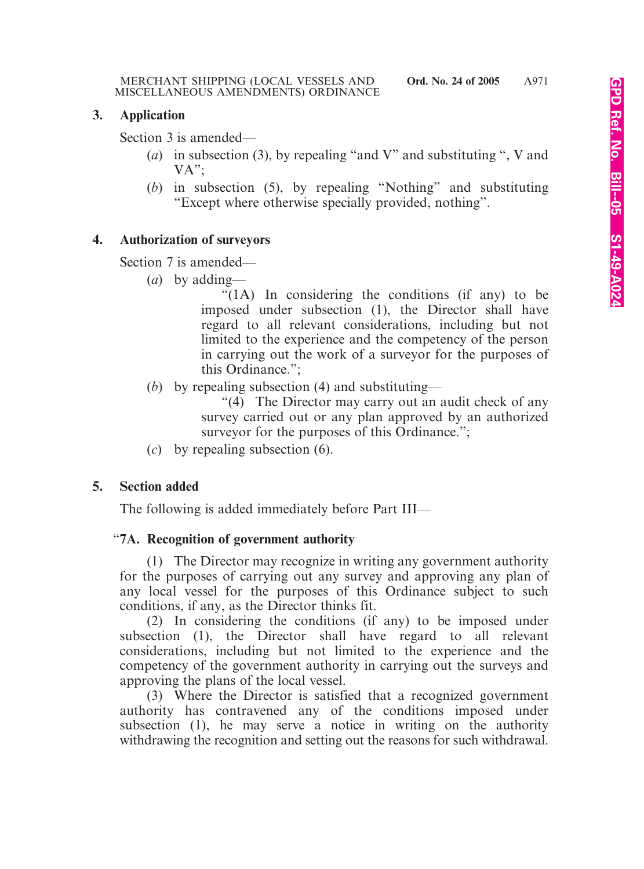# **3. Application**

Section 3 is amended—

- (*a*) in subsection (3), by repealing "and V" and substituting ", V and VA";
- (*b*) in subsection (5), by repealing "Nothing" and substituting "Except where otherwise specially provided, nothing".

# **4. Authorization of surveyors**

Section 7 is amended—

(*a*) by adding—

"(1A) In considering the conditions (if any) to be imposed under subsection (1), the Director shall have regard to all relevant considerations, including but not limited to the experience and the competency of the person in carrying out the work of a surveyor for the purposes of this Ordinance.";

(*b*) by repealing subsection (4) and substituting—

"(4) The Director may carry out an audit check of any survey carried out or any plan approved by an authorized survey for the purposes of this Ordinance.":

(*c*) by repealing subsection (6).

# **5. Section added**

The following is added immediately before Part III—

# "**7A. Recognition of government authority**

(1) The Director may recognize in writing any government authority for the purposes of carrying out any survey and approving any plan of any local vessel for the purposes of this Ordinance subject to such conditions, if any, as the Director thinks fit.

(2) In considering the conditions (if any) to be imposed under subsection (1), the Director shall have regard to all relevant considerations, including but not limited to the experience and the competency of the government authority in carrying out the surveys and approving the plans of the local vessel.

(3) Where the Director is satisfied that a recognized government authority has contravened any of the conditions imposed under subsection (1), he may serve a notice in writing on the authority withdrawing the recognition and setting out the reasons for such withdrawal.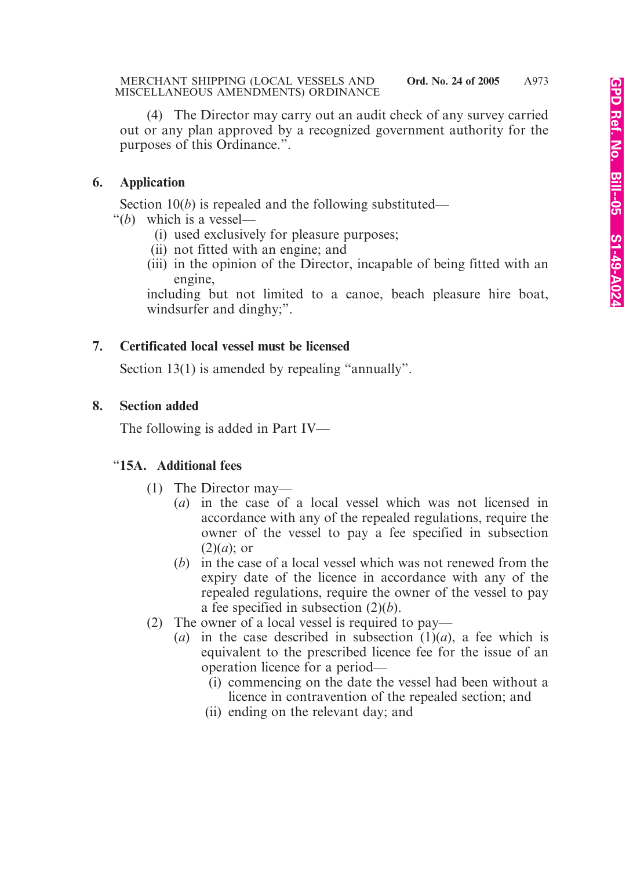(4) The Director may carry out an audit check of any survey carried out or any plan approved by a recognized government authority for the purposes of this Ordinance.".

# **6. Application**

Section 10(*b*) is repealed and the following substituted—

- "(*b*) which is a vessel—
	- (i) used exclusively for pleasure purposes;
	- (ii) not fitted with an engine; and
	- (iii) in the opinion of the Director, incapable of being fitted with an engine,

including but not limited to a canoe, beach pleasure hire boat, windsurfer and dinghy;".

# **7. Certificated local vessel must be licensed**

Section 13(1) is amended by repealing "annually".

# **8. Section added**

The following is added in Part IV—

# "**15A. Additional fees**

- (1) The Director may—
	- (*a*) in the case of a local vessel which was not licensed in accordance with any of the repealed regulations, require the owner of the vessel to pay a fee specified in subsection (2)(*a*); or
	- (*b*) in the case of a local vessel which was not renewed from the expiry date of the licence in accordance with any of the repealed regulations, require the owner of the vessel to pay a fee specified in subsection (2)(*b*).
- (2) The owner of a local vessel is required to pay—
	- (*a*) in the case described in subsection  $(1)(a)$ , a fee which is equivalent to the prescribed licence fee for the issue of an operation licence for a period—
		- (i) commencing on the date the vessel had been without a licence in contravention of the repealed section; and
		- (ii) ending on the relevant day; and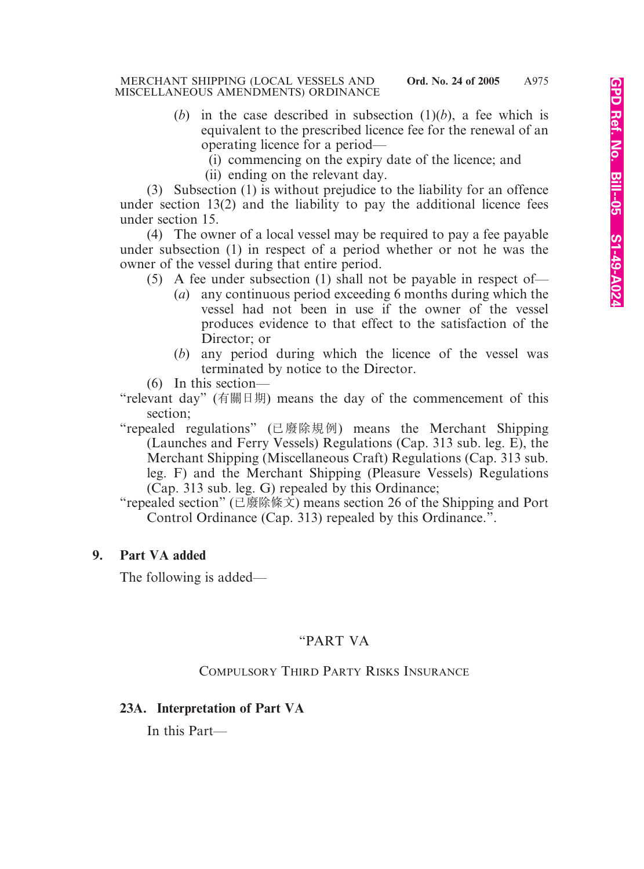- (*b*) in the case described in subsection  $(1)(b)$ , a fee which is equivalent to the prescribed licence fee for the renewal of an operating licence for a period—
	- (i) commencing on the expiry date of the licence; and
	- (ii) ending on the relevant day.

(3) Subsection (1) is without prejudice to the liability for an offence under section 13(2) and the liability to pay the additional licence fees under section 15.

(4) The owner of a local vessel may be required to pay a fee payable under subsection (1) in respect of a period whether or not he was the owner of the vessel during that entire period.

- (5) A fee under subsection (1) shall not be payable in respect of—
	- (*a*) any continuous period exceeding 6 months during which the vessel had not been in use if the owner of the vessel produces evidence to that effect to the satisfaction of the Director; or
	- (*b*) any period during which the licence of the vessel was terminated by notice to the Director.
- (6) In this section—
- "relevant day" (有關日期) means the day of the commencement of this section;
- "repealed regulations" (已廢除規例) means the Merchant Shipping (Launches and Ferry Vessels) Regulations (Cap. 313 sub. leg. E), the Merchant Shipping (Miscellaneous Craft) Regulations (Cap. 313 sub. leg. F) and the Merchant Shipping (Pleasure Vessels) Regulations (Cap. 313 sub. leg. G) repealed by this Ordinance;
- "repealed section" (已廢除條文) means section 26 of the Shipping and Port Control Ordinance (Cap. 313) repealed by this Ordinance.".

#### **9. Part VA added**

The following is added—

# "PART VA

#### COMPULSORY THIRD PARTY RISKS INSURANCE

#### **23A. Interpretation of Part VA**

In this Part—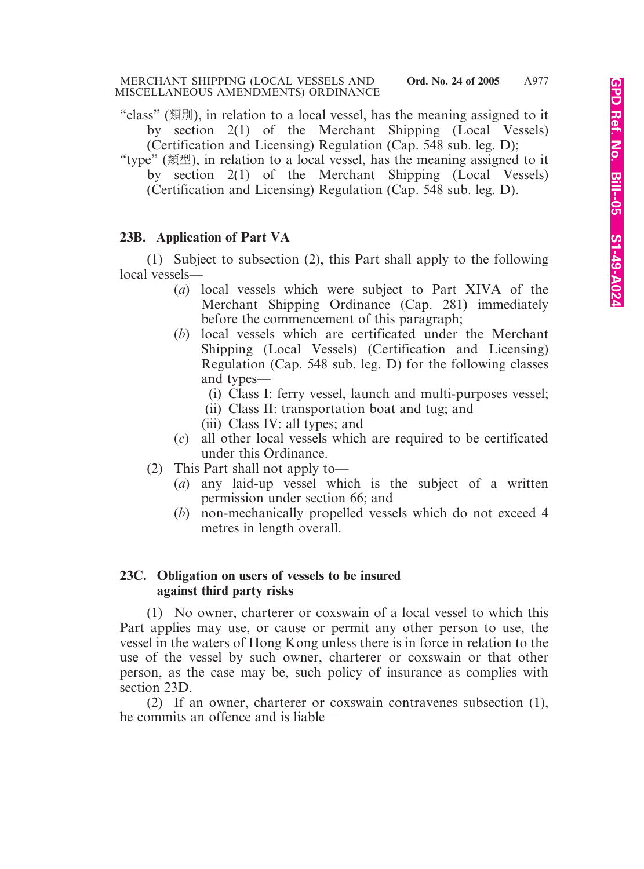- "class" (類別), in relation to a local vessel, has the meaning assigned to it by section 2(1) of the Merchant Shipping (Local Vessels) (Certification and Licensing) Regulation (Cap. 548 sub. leg. D);
- "type" (類型), in relation to a local vessel, has the meaning assigned to it by section 2(1) of the Merchant Shipping (Local Vessels) (Certification and Licensing) Regulation (Cap. 548 sub. leg. D).

#### **23B. Application of Part VA**

(1) Subject to subsection (2), this Part shall apply to the following local vessels—

- (*a*) local vessels which were subject to Part XIVA of the Merchant Shipping Ordinance (Cap. 281) immediately before the commencement of this paragraph;
- (*b*) local vessels which are certificated under the Merchant Shipping (Local Vessels) (Certification and Licensing) Regulation (Cap. 548 sub. leg. D) for the following classes and types—
	- (i) Class I: ferry vessel, launch and multi-purposes vessel;
	- (ii) Class II: transportation boat and tug; and
	- (iii) Class IV: all types; and
- (*c*) all other local vessels which are required to be certificated under this Ordinance.
- (2) This Part shall not apply to—
	- (*a*) any laid-up vessel which is the subject of a written permission under section 66; and
	- (*b*) non-mechanically propelled vessels which do not exceed 4 metres in length overall.

# **23C. Obligation on users of vessels to be insured against third party risks**

(1) No owner, charterer or coxswain of a local vessel to which this Part applies may use, or cause or permit any other person to use, the vessel in the waters of Hong Kong unless there is in force in relation to the use of the vessel by such owner, charterer or coxswain or that other person, as the case may be, such policy of insurance as complies with section 23D.

(2) If an owner, charterer or coxswain contravenes subsection (1), he commits an offence and is liable—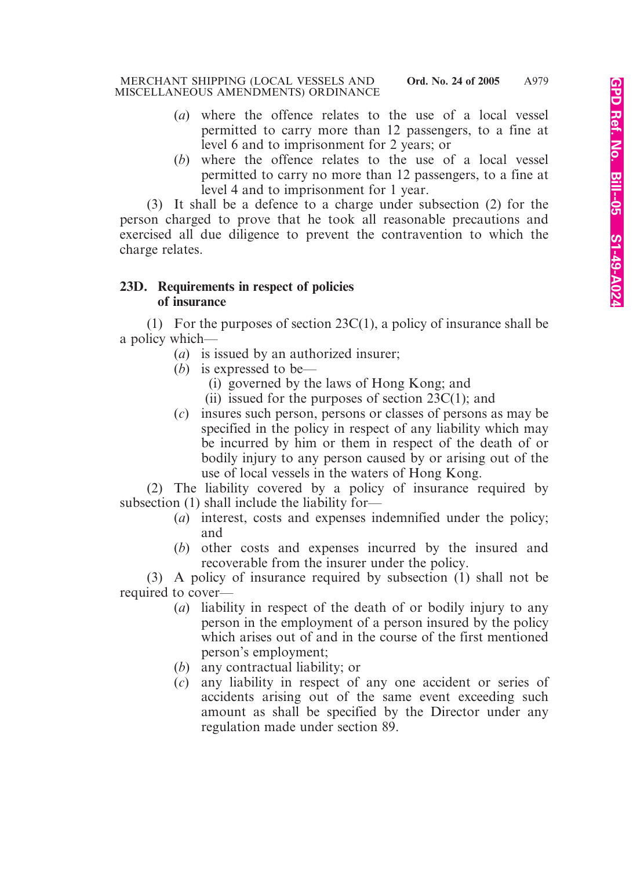- (*a*) where the offence relates to the use of a local vessel permitted to carry more than 12 passengers, to a fine at level 6 and to imprisonment for 2 years; or
- (*b*) where the offence relates to the use of a local vessel permitted to carry no more than 12 passengers, to a fine at level 4 and to imprisonment for 1 year.

(3) It shall be a defence to a charge under subsection (2) for the person charged to prove that he took all reasonable precautions and exercised all due diligence to prevent the contravention to which the charge relates.

#### **23D. Requirements in respect of policies of insurance**

(1) For the purposes of section  $23C(1)$ , a policy of insurance shall be a policy which—

- (*a*) is issued by an authorized insurer;
- (*b*) is expressed to be—
	- (i) governed by the laws of Hong Kong; and
	- (ii) issued for the purposes of section  $23C(1)$ ; and
- (*c*) insures such person, persons or classes of persons as may be specified in the policy in respect of any liability which may be incurred by him or them in respect of the death of or bodily injury to any person caused by or arising out of the use of local vessels in the waters of Hong Kong.

(2) The liability covered by a policy of insurance required by subsection (1) shall include the liability for—

- (*a*) interest, costs and expenses indemnified under the policy; and
- (*b*) other costs and expenses incurred by the insured and recoverable from the insurer under the policy.

(3) A policy of insurance required by subsection (1) shall not be required to cover—

- (*a*) liability in respect of the death of or bodily injury to any person in the employment of a person insured by the policy which arises out of and in the course of the first mentioned person's employment;
- (*b*) any contractual liability; or
- (*c*) any liability in respect of any one accident or series of accidents arising out of the same event exceeding such amount as shall be specified by the Director under any regulation made under section 89.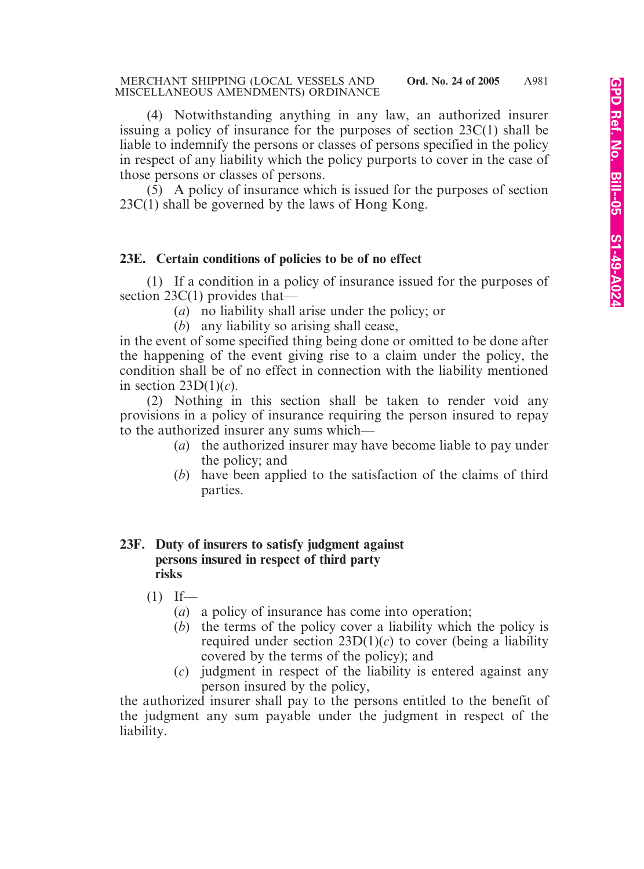(4) Notwithstanding anything in any law, an authorized insurer issuing a policy of insurance for the purposes of section 23C(1) shall be liable to indemnify the persons or classes of persons specified in the policy in respect of any liability which the policy purports to cover in the case of those persons or classes of persons.

(5) A policy of insurance which is issued for the purposes of section 23C(1) shall be governed by the laws of Hong Kong.

# **23E. Certain conditions of policies to be of no effect**

(1) If a condition in a policy of insurance issued for the purposes of section 23C(1) provides that—

- (*a*) no liability shall arise under the policy; or
- (*b*) any liability so arising shall cease,

in the event of some specified thing being done or omitted to be done after the happening of the event giving rise to a claim under the policy, the condition shall be of no effect in connection with the liability mentioned in section 23D(1)(*c*).

(2) Nothing in this section shall be taken to render void any provisions in a policy of insurance requiring the person insured to repay to the authorized insurer any sums which—

- (*a*) the authorized insurer may have become liable to pay under the policy; and
- (*b*) have been applied to the satisfaction of the claims of third parties.

#### **23F. Duty of insurers to satisfy judgment against persons insured in respect of third party risks**

- $(1)$  If—
	- (*a*) a policy of insurance has come into operation;
	- (*b*) the terms of the policy cover a liability which the policy is required under section  $23D(1)(c)$  to cover (being a liability covered by the terms of the policy); and
	- (*c*) judgment in respect of the liability is entered against any person insured by the policy,

the authorized insurer shall pay to the persons entitled to the benefit of the judgment any sum payable under the judgment in respect of the liability.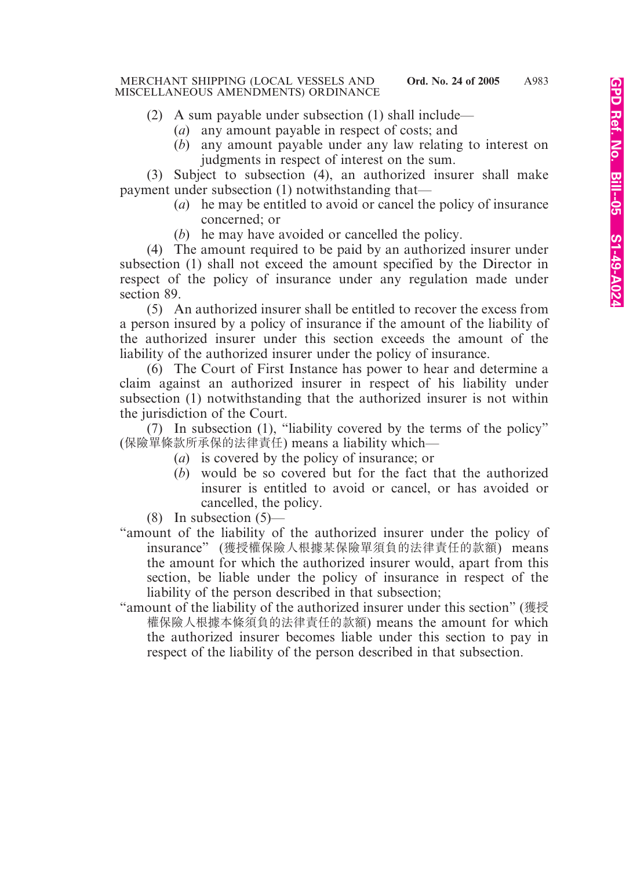- (2) A sum payable under subsection (1) shall include—
	- (*a*) any amount payable in respect of costs; and
	- (*b*) any amount payable under any law relating to interest on judgments in respect of interest on the sum.

(3) Subject to subsection (4), an authorized insurer shall make payment under subsection (1) notwithstanding that—

- (*a*) he may be entitled to avoid or cancel the policy of insurance concerned; or
- (*b*) he may have avoided or cancelled the policy.

(4) The amount required to be paid by an authorized insurer under subsection (1) shall not exceed the amount specified by the Director in respect of the policy of insurance under any regulation made under section 89.

(5) An authorized insurer shall be entitled to recover the excess from a person insured by a policy of insurance if the amount of the liability of the authorized insurer under this section exceeds the amount of the liability of the authorized insurer under the policy of insurance.

(6) The Court of First Instance has power to hear and determine a claim against an authorized insurer in respect of his liability under subsection (1) notwithstanding that the authorized insurer is not within the jurisdiction of the Court.

(7) In subsection (1), "liability covered by the terms of the policy" (保險單條款所承保的法律責任) means a liability which—

- (*a*) is covered by the policy of insurance; or
- (*b*) would be so covered but for the fact that the authorized insurer is entitled to avoid or cancel, or has avoided or cancelled, the policy.
- $(8)$  In subsection  $(5)$ —
- "amount of the liability of the authorized insurer under the policy of insurance" (獲授權保險人根據某保險單須負的法律責任的款額) means the amount for which the authorized insurer would, apart from this section, be liable under the policy of insurance in respect of the liability of the person described in that subsection;
- "amount of the liability of the authorized insurer under this section" (獲授 權保險人根據本條須負的法律責任的款額) means the amount for which the authorized insurer becomes liable under this section to pay in respect of the liability of the person described in that subsection.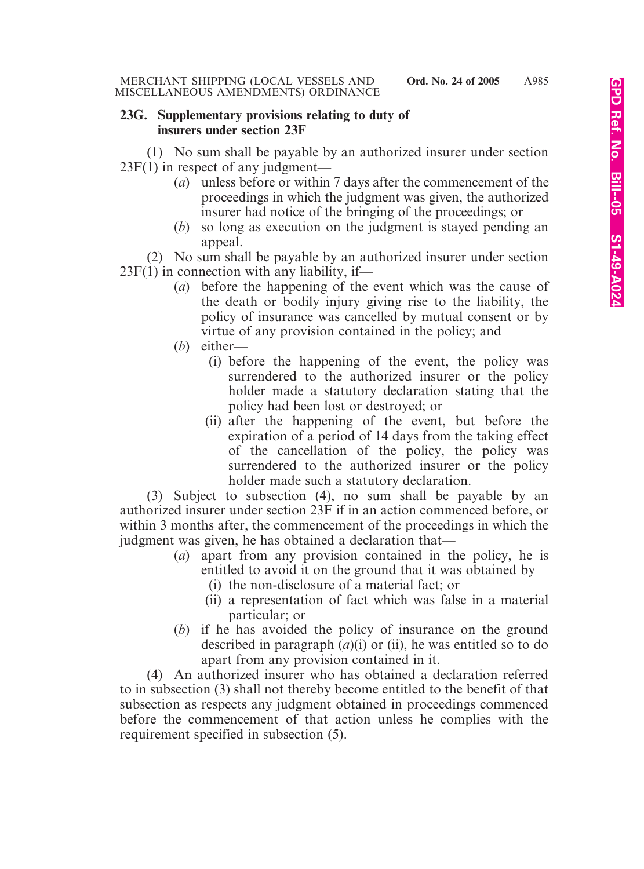#### **23G. Supplementary provisions relating to duty of insurers under section 23F**

(1) No sum shall be payable by an authorized insurer under section 23F(1) in respect of any judgment—

- (*a*) unless before or within 7 days after the commencement of the proceedings in which the judgment was given, the authorized insurer had notice of the bringing of the proceedings; or
- (*b*) so long as execution on the judgment is stayed pending an appeal.

(2) No sum shall be payable by an authorized insurer under section  $23F(1)$  in connection with any liability, if-

- (*a*) before the happening of the event which was the cause of the death or bodily injury giving rise to the liability, the policy of insurance was cancelled by mutual consent or by virtue of any provision contained in the policy; and
- (*b*) either—
	- (i) before the happening of the event, the policy was surrendered to the authorized insurer or the policy holder made a statutory declaration stating that the policy had been lost or destroyed; or
	- (ii) after the happening of the event, but before the expiration of a period of 14 days from the taking effect of the cancellation of the policy, the policy was surrendered to the authorized insurer or the policy holder made such a statutory declaration.

(3) Subject to subsection (4), no sum shall be payable by an authorized insurer under section 23F if in an action commenced before, or within 3 months after, the commencement of the proceedings in which the judgment was given, he has obtained a declaration that—

- (*a*) apart from any provision contained in the policy, he is entitled to avoid it on the ground that it was obtained by—
	- (i) the non-disclosure of a material fact; or
	- (ii) a representation of fact which was false in a material particular; or
- (*b*) if he has avoided the policy of insurance on the ground described in paragraph (*a*)(i) or (ii), he was entitled so to do apart from any provision contained in it.

(4) An authorized insurer who has obtained a declaration referred to in subsection (3) shall not thereby become entitled to the benefit of that subsection as respects any judgment obtained in proceedings commenced before the commencement of that action unless he complies with the requirement specified in subsection (5).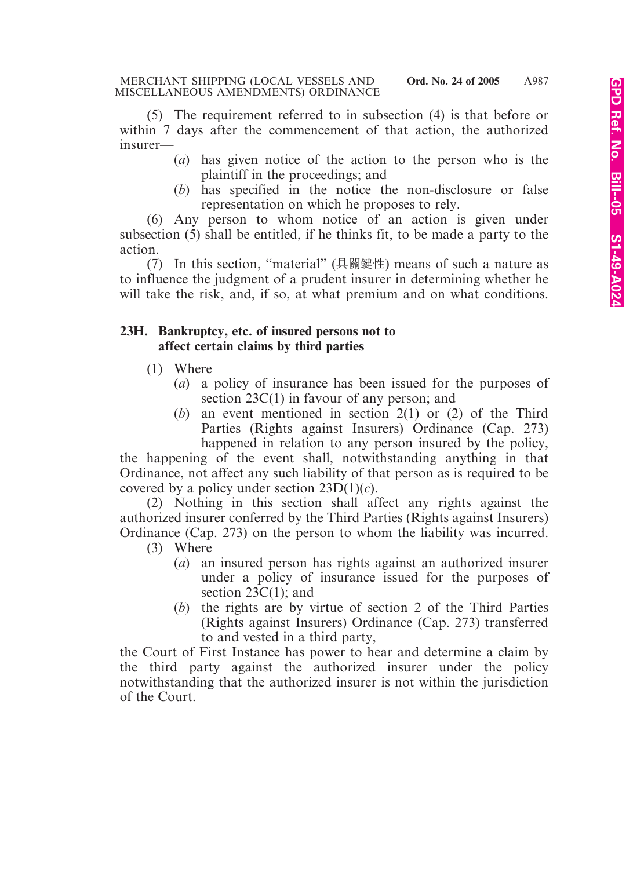(5) The requirement referred to in subsection (4) is that before or within 7 days after the commencement of that action, the authorized insurer—

- (*a*) has given notice of the action to the person who is the plaintiff in the proceedings; and
- (*b*) has specified in the notice the non-disclosure or false representation on which he proposes to rely.

(6) Any person to whom notice of an action is given under subsection (5) shall be entitled, if he thinks fit, to be made a party to the action.

(7) In this section, "material" (具關鍵性) means of such a nature as to influence the judgment of a prudent insurer in determining whether he will take the risk, and, if so, at what premium and on what conditions.

#### **23H. Bankruptcy, etc. of insured persons not to affect certain claims by third parties**

- (1) Where—
	- (*a*) a policy of insurance has been issued for the purposes of section 23C(1) in favour of any person; and
	- (*b*) an event mentioned in section 2(1) or (2) of the Third Parties (Rights against Insurers) Ordinance (Cap. 273) happened in relation to any person insured by the policy,

the happening of the event shall, notwithstanding anything in that Ordinance, not affect any such liability of that person as is required to be covered by a policy under section 23D(1)(*c*).

(2) Nothing in this section shall affect any rights against the authorized insurer conferred by the Third Parties (Rights against Insurers) Ordinance (Cap. 273) on the person to whom the liability was incurred.

- (3) Where—
	- (*a*) an insured person has rights against an authorized insurer under a policy of insurance issued for the purposes of section  $23C(1)$ ; and
	- (*b*) the rights are by virtue of section 2 of the Third Parties (Rights against Insurers) Ordinance (Cap. 273) transferred to and vested in a third party,

the Court of First Instance has power to hear and determine a claim by the third party against the authorized insurer under the policy notwithstanding that the authorized insurer is not within the jurisdiction of the Court.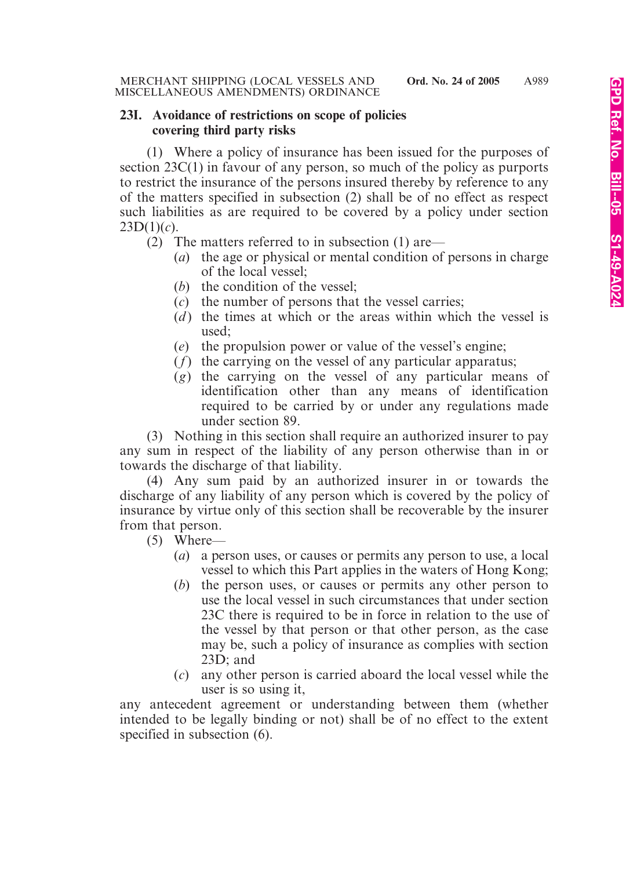#### **23I. Avoidance of restrictions on scope of policies covering third party risks**

(1) Where a policy of insurance has been issued for the purposes of section 23C(1) in favour of any person, so much of the policy as purports to restrict the insurance of the persons insured thereby by reference to any of the matters specified in subsection (2) shall be of no effect as respect such liabilities as are required to be covered by a policy under section  $23D(1)(c)$ .

(2) The matters referred to in subsection (1) are—

- (*a*) the age or physical or mental condition of persons in charge of the local vessel;
- (*b*) the condition of the vessel;
- (*c*) the number of persons that the vessel carries;
- (*d*) the times at which or the areas within which the vessel is used;
- (*e*) the propulsion power or value of the vessel's engine;
- (*f*) the carrying on the vessel of any particular apparatus;
- (*g*) the carrying on the vessel of any particular means of identification other than any means of identification required to be carried by or under any regulations made under section 89.

(3) Nothing in this section shall require an authorized insurer to pay any sum in respect of the liability of any person otherwise than in or towards the discharge of that liability.

(4) Any sum paid by an authorized insurer in or towards the discharge of any liability of any person which is covered by the policy of insurance by virtue only of this section shall be recoverable by the insurer from that person.

(5) Where—

- (*a*) a person uses, or causes or permits any person to use, a local vessel to which this Part applies in the waters of Hong Kong;
- (*b*) the person uses, or causes or permits any other person to use the local vessel in such circumstances that under section 23C there is required to be in force in relation to the use of the vessel by that person or that other person, as the case may be, such a policy of insurance as complies with section 23D; and
- (*c*) any other person is carried aboard the local vessel while the user is so using it,

any antecedent agreement or understanding between them (whether intended to be legally binding or not) shall be of no effect to the extent specified in subsection (6).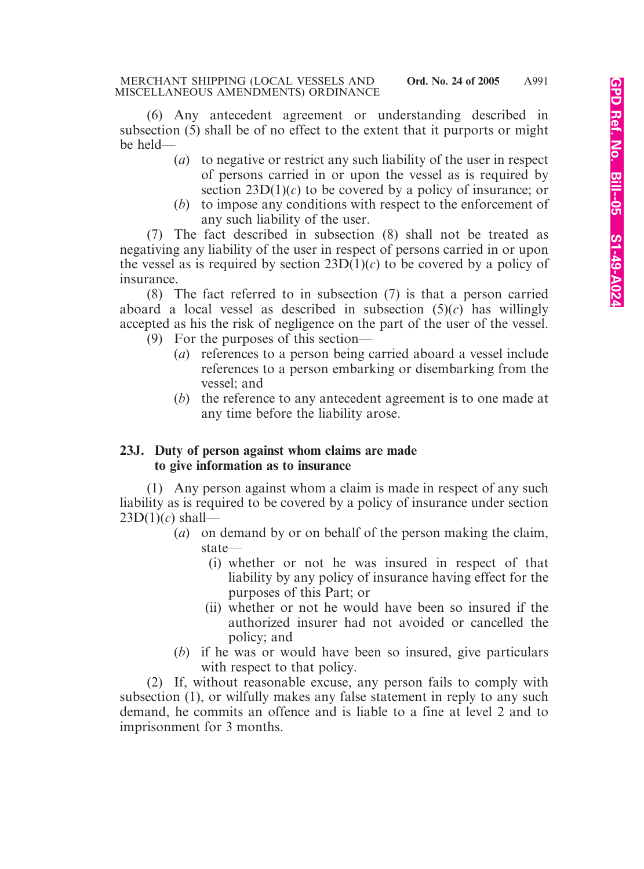(6) Any antecedent agreement or understanding described in subsection (5) shall be of no effect to the extent that it purports or might be held—

- (*a*) to negative or restrict any such liability of the user in respect of persons carried in or upon the vessel as is required by section  $23D(1)(c)$  to be covered by a policy of insurance; or
- (*b*) to impose any conditions with respect to the enforcement of any such liability of the user.

(7) The fact described in subsection (8) shall not be treated as negativing any liability of the user in respect of persons carried in or upon the vessel as is required by section  $23D(1)(c)$  to be covered by a policy of insurance.

(8) The fact referred to in subsection (7) is that a person carried aboard a local vessel as described in subsection (5)(*c*) has willingly accepted as his the risk of negligence on the part of the user of the vessel.

- (9) For the purposes of this section—
	- (*a*) references to a person being carried aboard a vessel include references to a person embarking or disembarking from the vessel; and
	- (*b*) the reference to any antecedent agreement is to one made at any time before the liability arose.

#### **23J. Duty of person against whom claims are made to give information as to insurance**

(1) Any person against whom a claim is made in respect of any such liability as is required to be covered by a policy of insurance under section 23D(1)(*c*) shall—

- (*a*) on demand by or on behalf of the person making the claim, state—
	- (i) whether or not he was insured in respect of that liability by any policy of insurance having effect for the purposes of this Part; or
	- (ii) whether or not he would have been so insured if the authorized insurer had not avoided or cancelled the policy; and
- (*b*) if he was or would have been so insured, give particulars with respect to that policy.

(2) If, without reasonable excuse, any person fails to comply with subsection (1), or wilfully makes any false statement in reply to any such demand, he commits an offence and is liable to a fine at level 2 and to imprisonment for 3 months.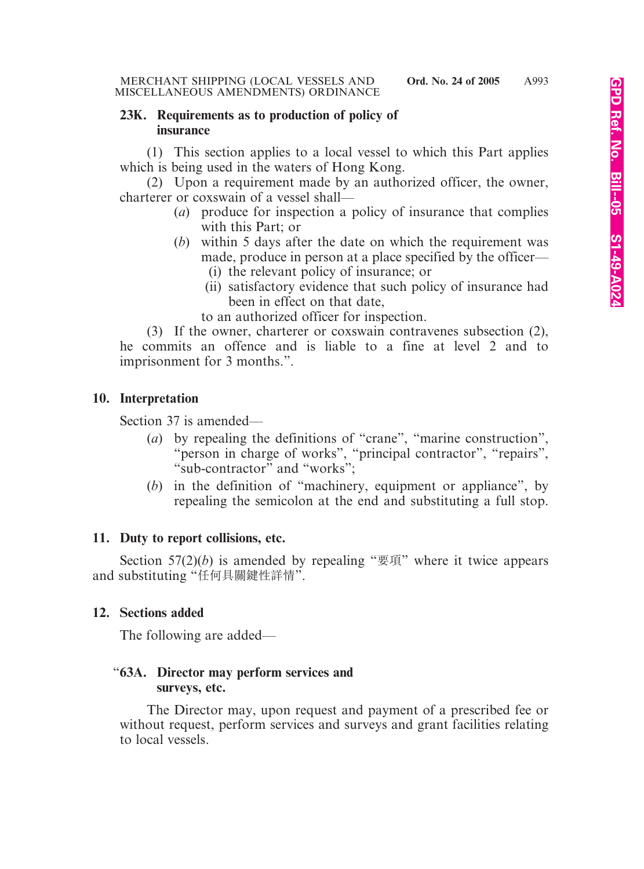#### **23K. Requirements as to production of policy of insurance**

(1) This section applies to a local vessel to which this Part applies which is being used in the waters of Hong Kong.

(2) Upon a requirement made by an authorized officer, the owner, charterer or coxswain of a vessel shall—

- (*a*) produce for inspection a policy of insurance that complies with this Part; or
- (*b*) within 5 days after the date on which the requirement was made, produce in person at a place specified by the officer—
	- (i) the relevant policy of insurance; or
	- (ii) satisfactory evidence that such policy of insurance had been in effect on that date,
	- to an authorized officer for inspection.

(3) If the owner, charterer or coxswain contravenes subsection (2), he commits an offence and is liable to a fine at level 2 and to imprisonment for 3 months.".

# **10. Interpretation**

Section 37 is amended—

- (*a*) by repealing the definitions of "crane", "marine construction", "person in charge of works", "principal contractor", "repairs", "sub-contractor" and "works";
- (*b*) in the definition of "machinery, equipment or appliance", by repealing the semicolon at the end and substituting a full stop.

#### **11. Duty to report collisions, etc.**

Section  $57(2)(b)$  is amended by repealing " $\overline{\mathcal{F}}$  $\overline{\mathcal{F}}$ " where it twice appears and substituting "任何具關鍵性詳情".

#### **12. Sections added**

The following are added—

#### "**63A. Director may perform services and surveys, etc.**

The Director may, upon request and payment of a prescribed fee or without request, perform services and surveys and grant facilities relating to local vessels.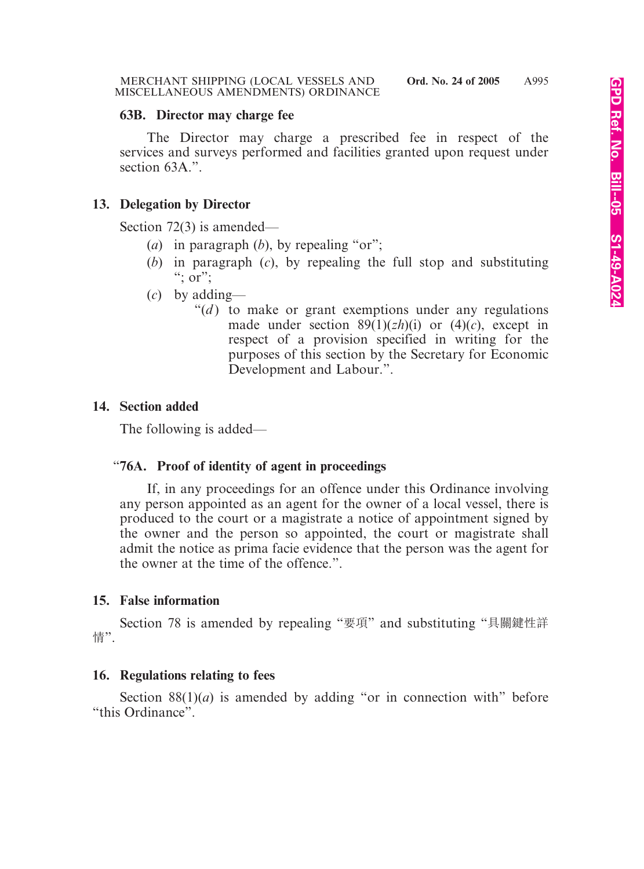#### **63B. Director may charge fee**

The Director may charge a prescribed fee in respect of the services and surveys performed and facilities granted upon request under section 63A.".

# **13. Delegation by Director**

Section 72(3) is amended—

- (*a*) in paragraph (*b*), by repealing "or";
- (*b*) in paragraph (*c*), by repealing the full stop and substituting ";  $\overline{or}$ ";
- (*c*) by adding—
	- " $(d)$  to make or grant exemptions under any regulations" made under section  $89(1)(zh)(i)$  or  $(4)(c)$ , except in respect of a provision specified in writing for the purposes of this section by the Secretary for Economic Development and Labour.".

# **14. Section added**

The following is added—

# "**76A. Proof of identity of agent in proceedings**

If, in any proceedings for an offence under this Ordinance involving any person appointed as an agent for the owner of a local vessel, there is produced to the court or a magistrate a notice of appointment signed by the owner and the person so appointed, the court or magistrate shall admit the notice as prima facie evidence that the person was the agent for the owner at the time of the offence.".

# **15. False information**

Section 78 is amended by repealing "要項" and substituting "具關鍵性詳 情".

# **16. Regulations relating to fees**

Section  $88(1)(a)$  is amended by adding "or in connection with" before "this Ordinance".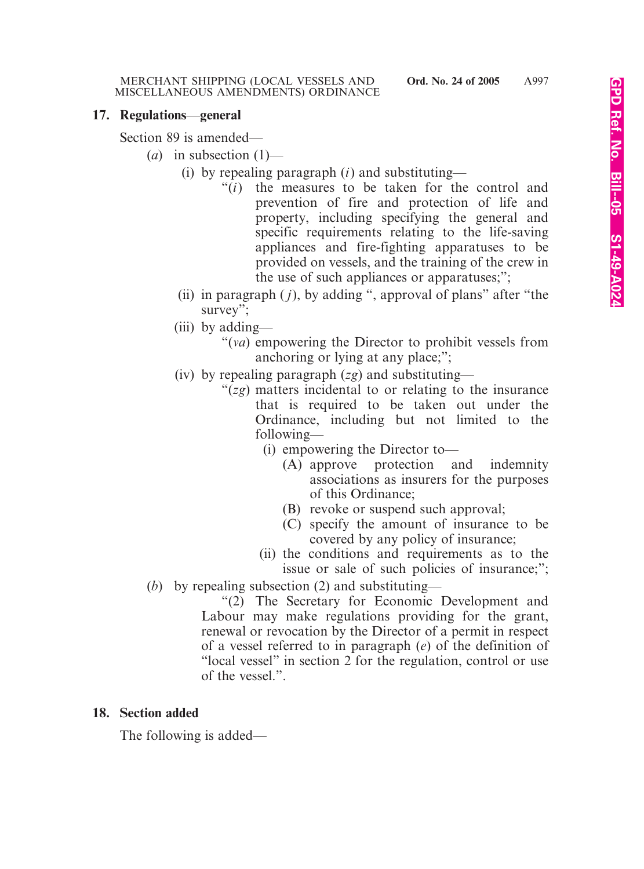#### **17. Regulations**—**general**

Section 89 is amended—

- (*a*) in subsection  $(1)$ 
	- (i) by repealing paragraph (*i*) and substituting—
		- "(*i*) the measures to be taken for the control and prevention of fire and protection of life and property, including specifying the general and specific requirements relating to the life-saving appliances and fire-fighting apparatuses to be provided on vessels, and the training of the crew in the use of such appliances or apparatuses;";
	- (ii) in paragraph ( *j*), by adding ", approval of plans" after "the survey";
	- (iii) by adding—
		- "(*va*) empowering the Director to prohibit vessels from anchoring or lying at any place;";
	- (iv) by repealing paragraph (*zg*) and substituting—
		- "(*zg*) matters incidental to or relating to the insurance that is required to be taken out under the Ordinance, including but not limited to the following—
			- (i) empowering the Director to—
				- (A) approve protection and indemnity associations as insurers for the purposes of this Ordinance;
				- (B) revoke or suspend such approval;
				- (C) specify the amount of insurance to be covered by any policy of insurance;
			- (ii) the conditions and requirements as to the issue or sale of such policies of insurance;";
- (*b*) by repealing subsection (2) and substituting—

"(2) The Secretary for Economic Development and Labour may make regulations providing for the grant, renewal or revocation by the Director of a permit in respect of a vessel referred to in paragraph (*e*) of the definition of "local vessel" in section 2 for the regulation, control or use of the vessel.".

# **18. Section added**

The following is added—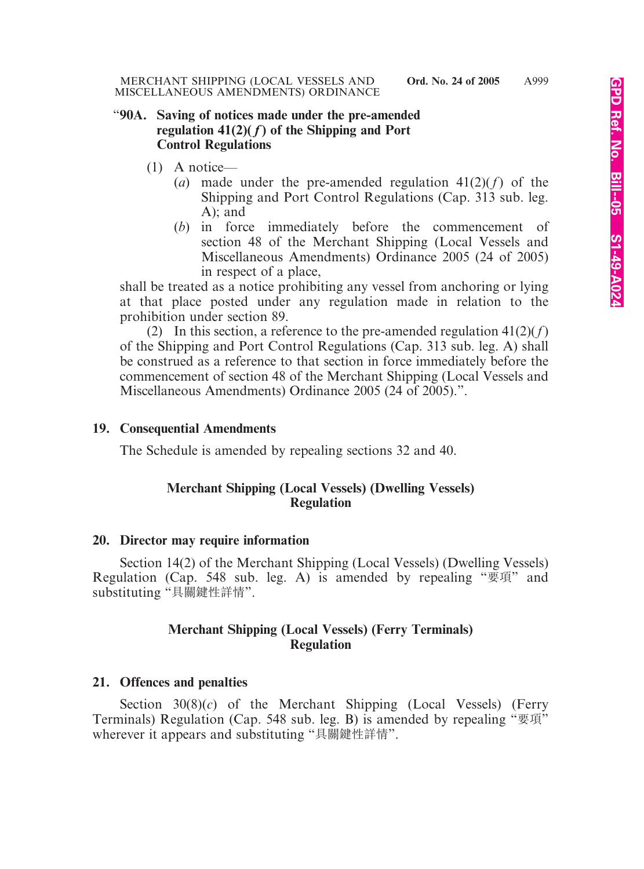#### "**90A. Saving of notices made under the pre-amended**  regulation  $41(2)(f)$  of the Shipping and Port **Control Regulations**

- (1) A notice—
	- (*a*) made under the pre-amended regulation 41(2)(*f*) of the Shipping and Port Control Regulations (Cap. 313 sub. leg. A); and
	- (*b*) in force immediately before the commencement of section 48 of the Merchant Shipping (Local Vessels and Miscellaneous Amendments) Ordinance 2005 (24 of 2005) in respect of a place,

shall be treated as a notice prohibiting any vessel from anchoring or lying at that place posted under any regulation made in relation to the prohibition under section 89.

(2) In this section, a reference to the pre-amended regulation  $41(2)(f)$ of the Shipping and Port Control Regulations (Cap. 313 sub. leg. A) shall be construed as a reference to that section in force immediately before the commencement of section 48 of the Merchant Shipping (Local Vessels and Miscellaneous Amendments) Ordinance 2005 (24 of 2005).".

#### **19. Consequential Amendments**

The Schedule is amended by repealing sections 32 and 40.

# **Merchant Shipping (Local Vessels) (Dwelling Vessels) Regulation**

# **20. Director may require information**

Section 14(2) of the Merchant Shipping (Local Vessels) (Dwelling Vessels) Regulation (Cap. 548 sub. leg. A) is amended by repealing "要項" and substituting "具關鍵性詳情".

# **Merchant Shipping (Local Vessels) (Ferry Terminals) Regulation**

# **21. Offences and penalties**

Section 30(8)(*c*) of the Merchant Shipping (Local Vessels) (Ferry Terminals) Regulation (Cap. 548 sub. leg. B) is amended by repealing "要項" wherever it appears and substituting "具關鍵性詳情".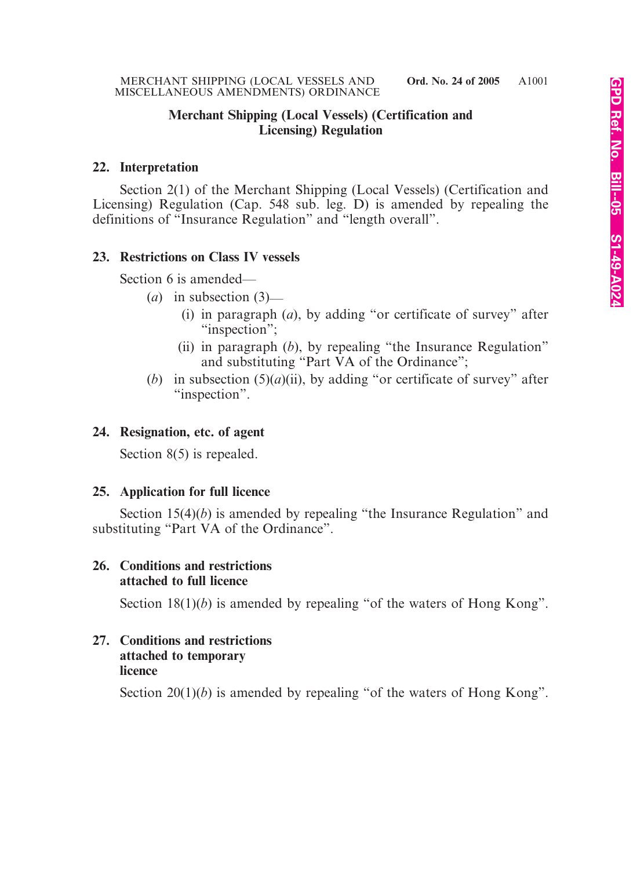#### **Merchant Shipping (Local Vessels) (Certification and Licensing) Regulation**

#### **22. Interpretation**

Section 2(1) of the Merchant Shipping (Local Vessels) (Certification and Licensing) Regulation (Cap. 548 sub. leg. D) is amended by repealing the definitions of "Insurance Regulation" and "length overall".

# **23. Restrictions on Class IV vessels**

Section 6 is amended—

- (*a*) in subsection (3)—
	- (i) in paragraph (*a*), by adding "or certificate of survey" after "inspection";
	- (ii) in paragraph (*b*), by repealing "the Insurance Regulation" and substituting "Part VA of the Ordinance";
- (*b*) in subsection (5)(*a*)(ii), by adding "or certificate of survey" after "inspection".

#### **24. Resignation, etc. of agent**

Section 8(5) is repealed.

# **25. Application for full licence**

Section 15(4)(*b*) is amended by repealing "the Insurance Regulation" and substituting "Part VA of the Ordinance".

#### **26. Conditions and restrictions attached to full licence**

Section 18(1)(*b*) is amended by repealing "of the waters of Hong Kong".

# **27. Conditions and restrictions attached to temporary licence**

Section 20(1)(*b*) is amended by repealing "of the waters of Hong Kong".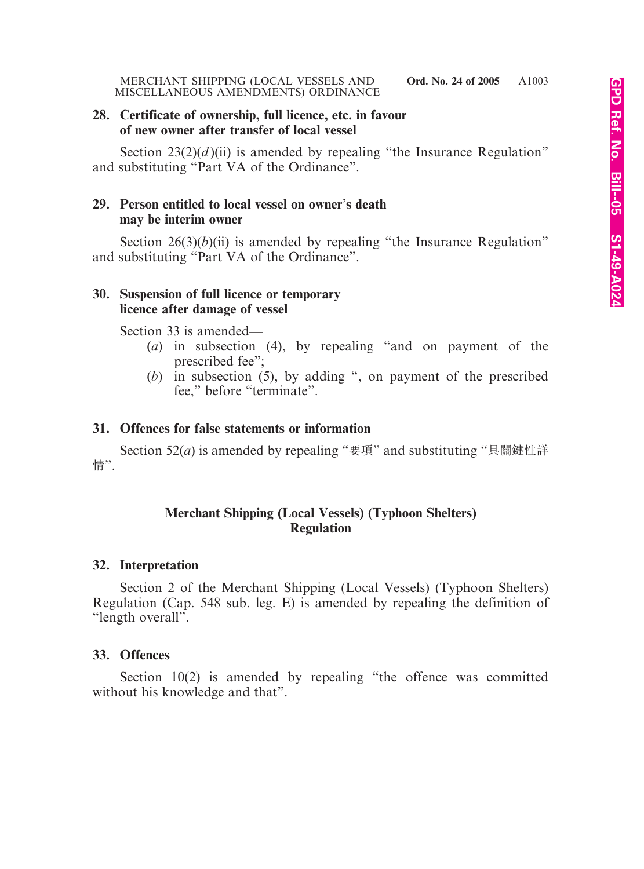#### **28. Certificate of ownership, full licence, etc. in favour of new owner after transfer of local vessel**

Section  $23(2)(d)$ (ii) is amended by repealing "the Insurance Regulation" and substituting "Part VA of the Ordinance".

# **29. Person entitled to local vessel on owner**'**s death may be interim owner**

Section  $26(3)(b)(ii)$  is amended by repealing "the Insurance Regulation" and substituting "Part VA of the Ordinance".

#### **30. Suspension of full licence or temporary licence after damage of vessel**

Section 33 is amended—

- (*a*) in subsection (4), by repealing "and on payment of the prescribed fee";
- (*b*) in subsection (5), by adding ", on payment of the prescribed fee," before "terminate".

# **31. Offences for false statements or information**

Section 52(*a*) is amended by repealing "要項" and substituting "具關鍵性詳 情".

# **Merchant Shipping (Local Vessels) (Typhoon Shelters) Regulation**

# **32. Interpretation**

Section 2 of the Merchant Shipping (Local Vessels) (Typhoon Shelters) Regulation (Cap. 548 sub. leg. E) is amended by repealing the definition of "length overall".

# **33. Offences**

Section 10(2) is amended by repealing "the offence was committed without his knowledge and that".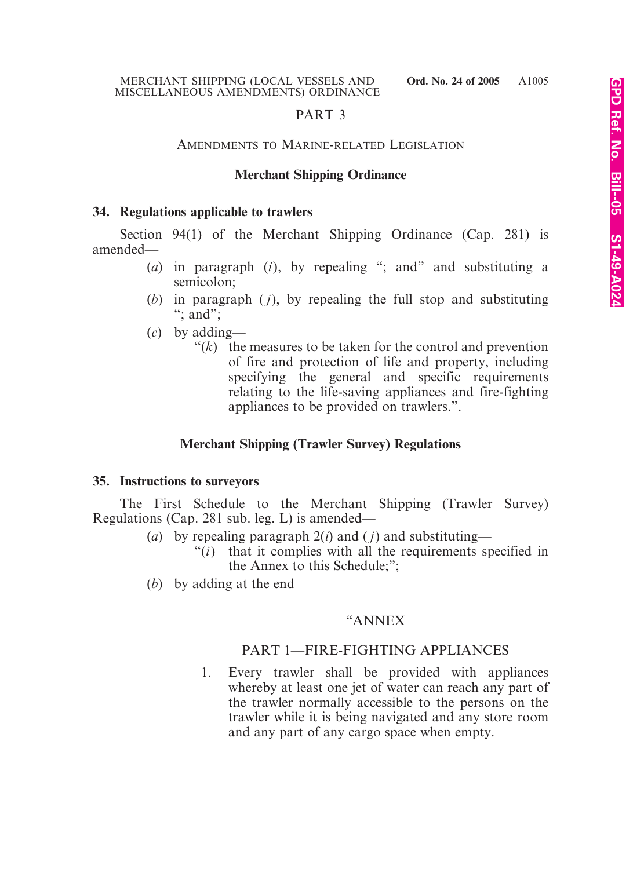# PART 3

#### AMENDMENTS TO MARINE-RELATED LEGISLATION

# **Merchant Shipping Ordinance**

#### **34. Regulations applicable to trawlers**

Section 94(1) of the Merchant Shipping Ordinance (Cap. 281) is amended—

- (*a*) in paragraph (*i*), by repealing "; and" and substituting a semicolon;
- (*b*) in paragraph ( *j*), by repealing the full stop and substituting ":  $and$ ":
- (*c*) by adding
	- $f(k)$  the measures to be taken for the control and prevention of fire and protection of life and property, including specifying the general and specific requirements relating to the life-saving appliances and fire-fighting appliances to be provided on trawlers.".

# **Merchant Shipping (Trawler Survey) Regulations**

#### **35. Instructions to surveyors**

The First Schedule to the Merchant Shipping (Trawler Survey) Regulations (Cap. 281 sub. leg. L) is amended—

- (*a*) by repealing paragraph  $2(i)$  and (*j*) and substituting—
	- "(*i*) that it complies with all the requirements specified in the Annex to this Schedule;";
- (*b*) by adding at the end—

#### "ANNEX

#### PART 1—FIRE-FIGHTING APPLIANCES

1. Every trawler shall be provided with appliances whereby at least one jet of water can reach any part of the trawler normally accessible to the persons on the trawler while it is being navigated and any store room and any part of any cargo space when empty.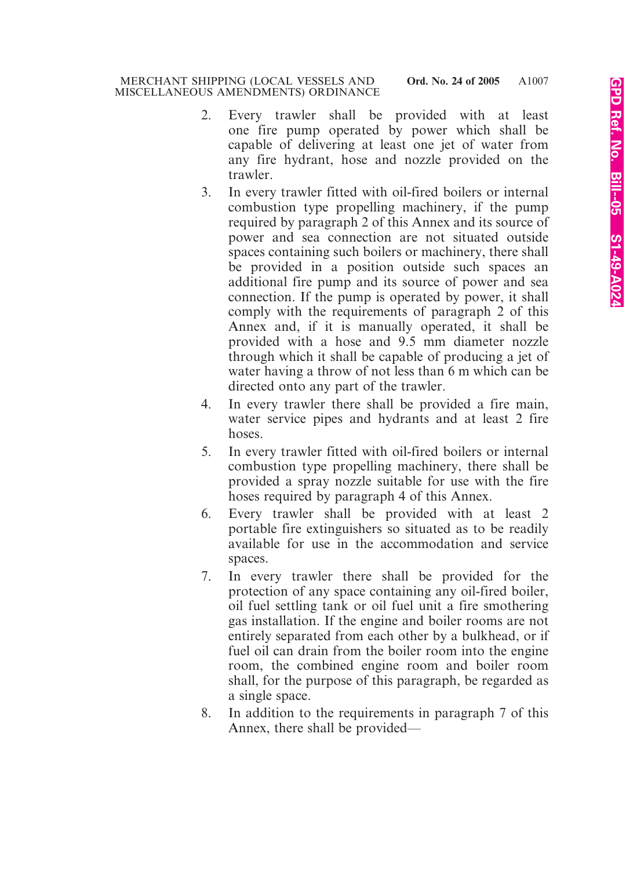- 2. Every trawler shall be provided with at least one fire pump operated by power which shall be capable of delivering at least one jet of water from any fire hydrant, hose and nozzle provided on the trawler.
- 3. In every trawler fitted with oil-fired boilers or internal combustion type propelling machinery, if the pump required by paragraph 2 of this Annex and its source of power and sea connection are not situated outside spaces containing such boilers or machinery, there shall be provided in a position outside such spaces an additional fire pump and its source of power and sea connection. If the pump is operated by power, it shall comply with the requirements of paragraph 2 of this Annex and, if it is manually operated, it shall be provided with a hose and 9.5 mm diameter nozzle through which it shall be capable of producing a jet of water having a throw of not less than 6 m which can be directed onto any part of the trawler.
- 4. In every trawler there shall be provided a fire main, water service pipes and hydrants and at least 2 fire hoses.
- 5. In every trawler fitted with oil-fired boilers or internal combustion type propelling machinery, there shall be provided a spray nozzle suitable for use with the fire hoses required by paragraph 4 of this Annex.
- 6. Every trawler shall be provided with at least 2 portable fire extinguishers so situated as to be readily available for use in the accommodation and service spaces.
- 7. In every trawler there shall be provided for the protection of any space containing any oil-fired boiler, oil fuel settling tank or oil fuel unit a fire smothering gas installation. If the engine and boiler rooms are not entirely separated from each other by a bulkhead, or if fuel oil can drain from the boiler room into the engine room, the combined engine room and boiler room shall, for the purpose of this paragraph, be regarded as a single space.
- 8. In addition to the requirements in paragraph 7 of this Annex, there shall be provided—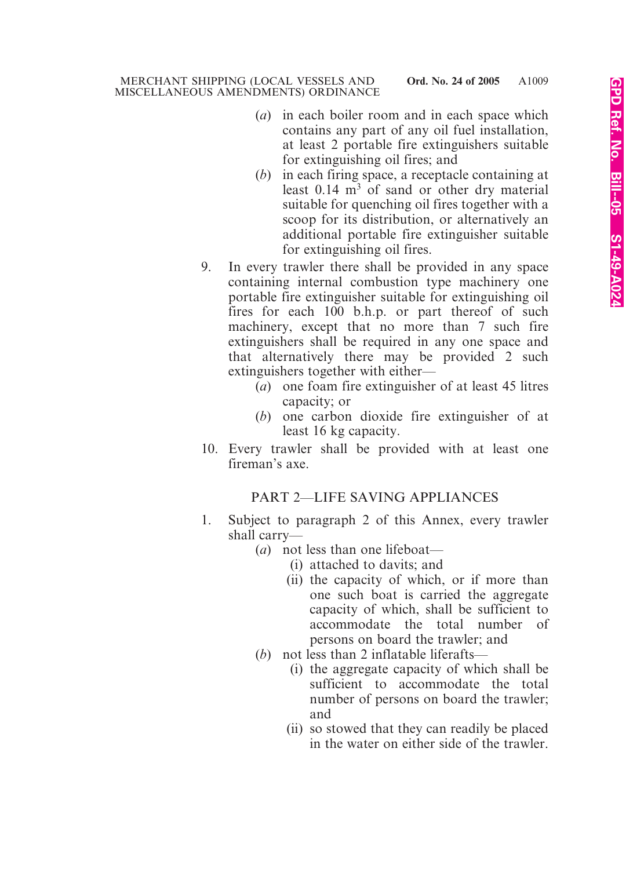- (*a*) in each boiler room and in each space which contains any part of any oil fuel installation, at least 2 portable fire extinguishers suitable for extinguishing oil fires; and
- (*b*) in each firing space, a receptacle containing at least  $0.14 \text{ m}^3$  of sand or other dry material suitable for quenching oil fires together with a scoop for its distribution, or alternatively an additional portable fire extinguisher suitable for extinguishing oil fires.
- 9. In every trawler there shall be provided in any space containing internal combustion type machinery one portable fire extinguisher suitable for extinguishing oil fires for each 100 b.h.p. or part thereof of such machinery, except that no more than 7 such fire extinguishers shall be required in any one space and that alternatively there may be provided 2 such extinguishers together with either—
	- (*a*) one foam fire extinguisher of at least 45 litres capacity; or
	- (*b*) one carbon dioxide fire extinguisher of at least 16 kg capacity.
- 10. Every trawler shall be provided with at least one fireman's axe.

# PART 2—LIFE SAVING APPLIANCES

- 1. Subject to paragraph 2 of this Annex, every trawler shall carry—
	- (*a*) not less than one lifeboat—
		- (i) attached to davits; and
		- (ii) the capacity of which, or if more than one such boat is carried the aggregate capacity of which, shall be sufficient to accommodate the total number of persons on board the trawler; and
	- (*b*) not less than 2 inflatable liferafts—
		- (i) the aggregate capacity of which shall be sufficient to accommodate the total number of persons on board the trawler; and
		- (ii) so stowed that they can readily be placed in the water on either side of the trawler.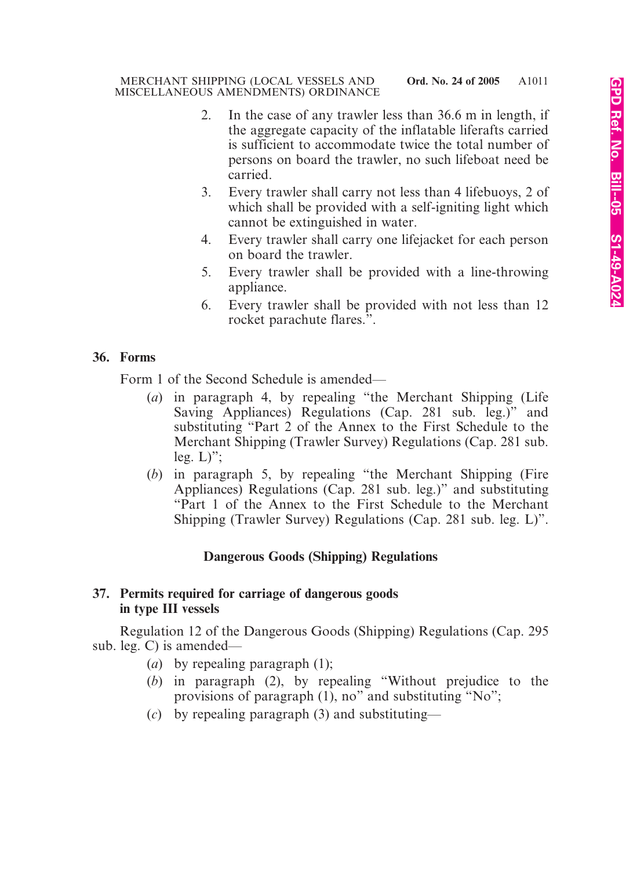- 2. In the case of any trawler less than 36.6 m in length, if the aggregate capacity of the inflatable liferafts carried is sufficient to accommodate twice the total number of persons on board the trawler, no such lifeboat need be carried.
- 3. Every trawler shall carry not less than 4 lifebuoys, 2 of which shall be provided with a self-igniting light which cannot be extinguished in water.
- 4. Every trawler shall carry one lifejacket for each person on board the trawler.
- 5. Every trawler shall be provided with a line-throwing appliance.
- 6. Every trawler shall be provided with not less than 12 rocket parachute flares.".

# **36. Forms**

Form 1 of the Second Schedule is amended—

- (*a*) in paragraph 4, by repealing "the Merchant Shipping (Life Saving Appliances) Regulations (Cap. 281 sub. leg.)" and substituting "Part 2 of the Annex to the First Schedule to the Merchant Shipping (Trawler Survey) Regulations (Cap. 281 sub. leg.  $L$ )";
- (*b*) in paragraph 5, by repealing "the Merchant Shipping (Fire Appliances) Regulations (Cap. 281 sub. leg.)" and substituting "Part 1 of the Annex to the First Schedule to the Merchant Shipping (Trawler Survey) Regulations (Cap. 281 sub. leg. L)".

# **Dangerous Goods (Shipping) Regulations**

# **37. Permits required for carriage of dangerous goods in type III vessels**

Regulation 12 of the Dangerous Goods (Shipping) Regulations (Cap. 295 sub. leg. C) is amended—

- (*a*) by repealing paragraph (1);
- (*b*) in paragraph (2), by repealing "Without prejudice to the provisions of paragraph (1), no" and substituting "No";
- (*c*) by repealing paragraph (3) and substituting—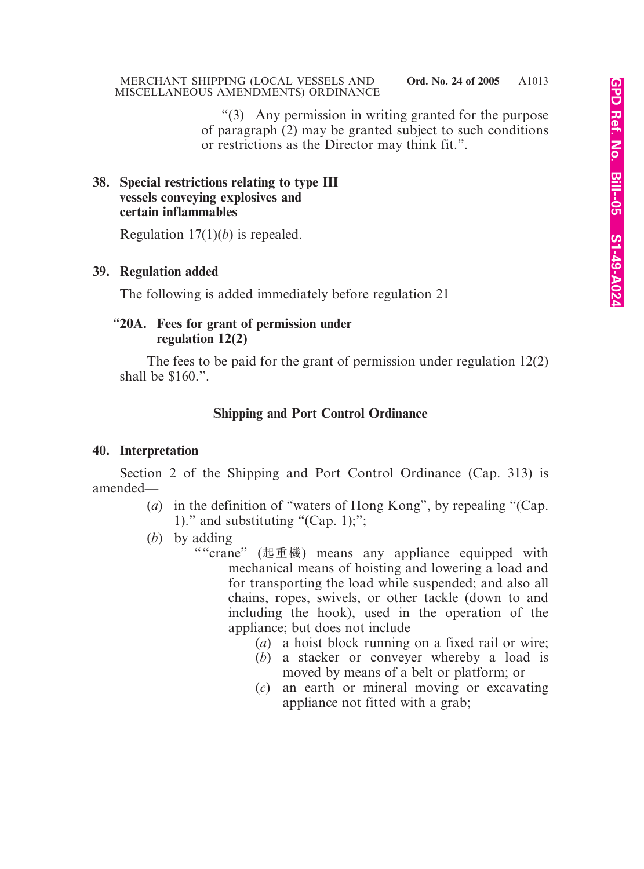"(3) Any permission in writing granted for the purpose of paragraph (2) may be granted subject to such conditions or restrictions as the Director may think fit.".

#### **38. Special restrictions relating to type III vessels conveying explosives and certain inflammables**

Regulation 17(1)(*b*) is repealed.

# **39. Regulation added**

The following is added immediately before regulation 21—

# "**20A. Fees for grant of permission under regulation 12(2)**

The fees to be paid for the grant of permission under regulation 12(2) shall be \$160.".

# **Shipping and Port Control Ordinance**

#### **40. Interpretation**

Section 2 of the Shipping and Port Control Ordinance (Cap. 313) is amended—

- (*a*) in the definition of "waters of Hong Kong", by repealing "(Cap. 1)." and substituting "(Cap. 1);";
- (*b*) by adding—
	- ""crane" (起重機) means any appliance equipped with mechanical means of hoisting and lowering a load and for transporting the load while suspended; and also all chains, ropes, swivels, or other tackle (down to and including the hook), used in the operation of the appliance; but does not include—
		- (*a*) a hoist block running on a fixed rail or wire;
		- (*b*) a stacker or conveyer whereby a load is moved by means of a belt or platform; or
		- (*c*) an earth or mineral moving or excavating appliance not fitted with a grab;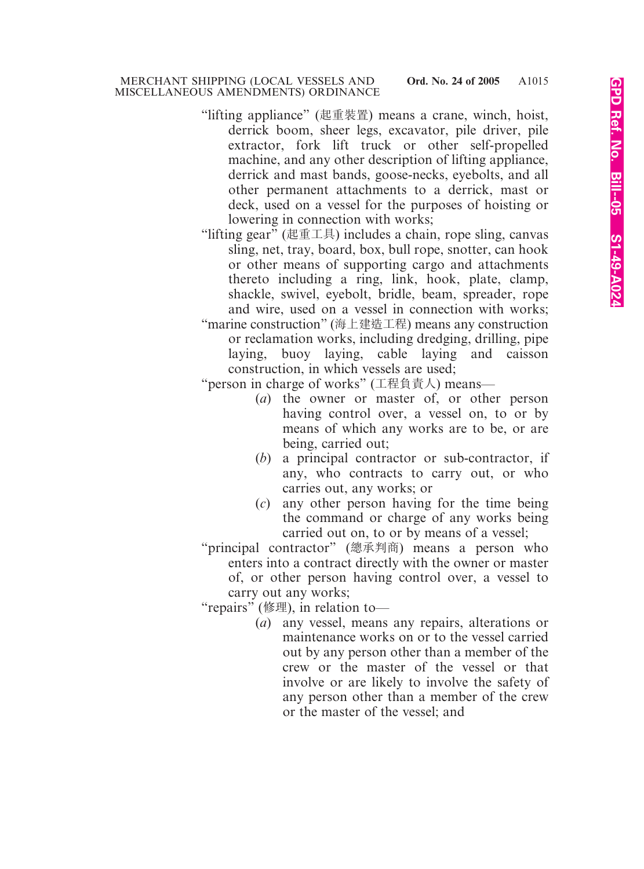- "lifting appliance" (起重裝置) means a crane, winch, hoist, derrick boom, sheer legs, excavator, pile driver, pile extractor, fork lift truck or other self-propelled machine, and any other description of lifting appliance, derrick and mast bands, goose-necks, eyebolts, and all other permanent attachments to a derrick, mast or deck, used on a vessel for the purposes of hoisting or lowering in connection with works;
- "lifting gear" (起重工具) includes a chain, rope sling, canvas sling, net, tray, board, box, bull rope, snotter, can hook or other means of supporting cargo and attachments thereto including a ring, link, hook, plate, clamp, shackle, swivel, eyebolt, bridle, beam, spreader, rope and wire, used on a vessel in connection with works;
- "marine construction" (海上建造工程) means any construction or reclamation works, including dredging, drilling, pipe laying, buoy laying, cable laying and caisson construction, in which vessels are used;

"person in charge of works" (工程負責人) means—

- (*a*) the owner or master of, or other person having control over, a vessel on, to or by means of which any works are to be, or are being, carried out;
- (*b*) a principal contractor or sub-contractor, if any, who contracts to carry out, or who carries out, any works; or
- (*c*) any other person having for the time being the command or charge of any works being carried out on, to or by means of a vessel;

"principal contractor" (總承判商) means a person who enters into a contract directly with the owner or master

of, or other person having control over, a vessel to carry out any works;

"repairs" (修理), in relation to—

(*a*) any vessel, means any repairs, alterations or maintenance works on or to the vessel carried out by any person other than a member of the crew or the master of the vessel or that involve or are likely to involve the safety of any person other than a member of the crew or the master of the vessel; and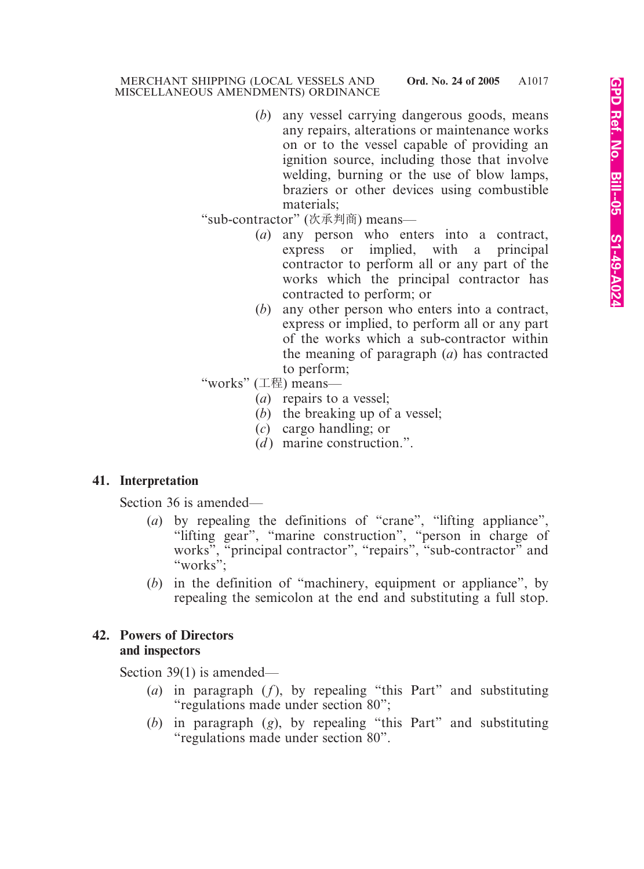(*b*) any vessel carrying dangerous goods, means any repairs, alterations or maintenance works on or to the vessel capable of providing an ignition source, including those that involve welding, burning or the use of blow lamps, braziers or other devices using combustible materials;

"sub-contractor" (次承判商) means—

- (*a*) any person who enters into a contract, express or implied, with a principal contractor to perform all or any part of the works which the principal contractor has contracted to perform; or
- (*b*) any other person who enters into a contract, express or implied, to perform all or any part of the works which a sub-contractor within the meaning of paragraph (*a*) has contracted to perform;

"works" (工程) means—

- (*a*) repairs to a vessel;
- (*b*) the breaking up of a vessel;
- (*c*) cargo handling; or
- (*d*) marine construction.".

# **41. Interpretation**

Section 36 is amended—

- (*a*) by repealing the definitions of "crane", "lifting appliance", "lifting gear", "marine construction", "person in charge of works", "principal contractor", "repairs", "sub-contractor" and "works";
- (*b*) in the definition of "machinery, equipment or appliance", by repealing the semicolon at the end and substituting a full stop.

# **42. Powers of Directors and inspectors**

Section 39(1) is amended—

- (*a*) in paragraph (*f*), by repealing "this Part" and substituting "regulations made under section 80";
- (*b*) in paragraph (*g*), by repealing "this Part" and substituting "regulations made under section 80".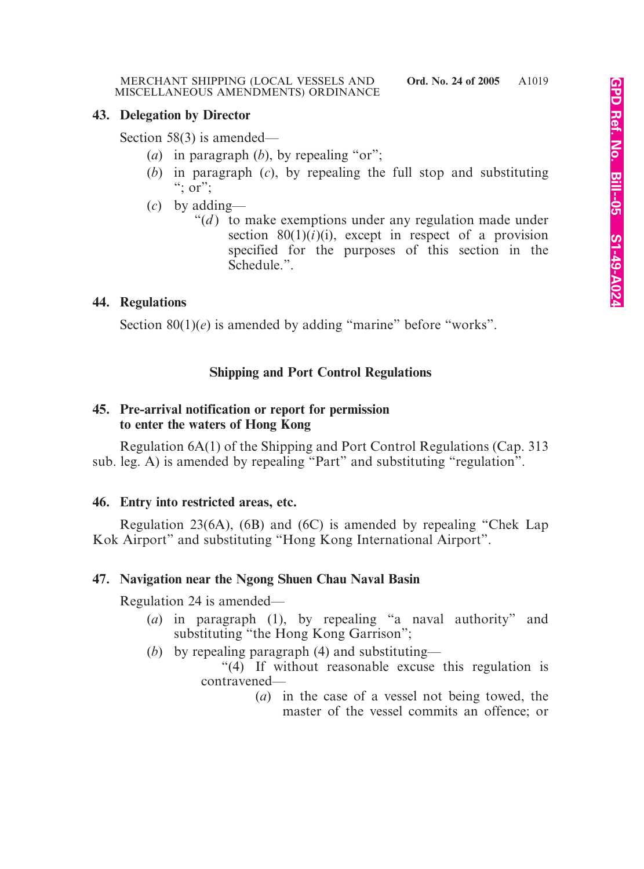#### **43. Delegation by Director**

Section 58(3) is amended—

- (*a*) in paragraph (*b*), by repealing "or";
- (*b*) in paragraph (*c*), by repealing the full stop and substituting ";  $\overline{or}$ ";
- (*c*) by adding—
	- " $(d)$  to make exemptions under any regulation made under section  $80(1)(i)$ (i), except in respect of a provision specified for the purposes of this section in the Schedule.".

# **44. Regulations**

Section 80(1)(*e*) is amended by adding "marine" before "works".

# **Shipping and Port Control Regulations**

# **45. Pre-arrival notification or report for permission to enter the waters of Hong Kong**

Regulation 6A(1) of the Shipping and Port Control Regulations (Cap. 313 sub. leg. A) is amended by repealing "Part" and substituting "regulation".

# **46. Entry into restricted areas, etc.**

Regulation 23(6A), (6B) and (6C) is amended by repealing "Chek Lap Kok Airport" and substituting "Hong Kong International Airport".

# **47. Navigation near the Ngong Shuen Chau Naval Basin**

Regulation 24 is amended—

- (*a*) in paragraph (1), by repealing "a naval authority" and substituting "the Hong Kong Garrison";
- (*b*) by repealing paragraph (4) and substituting—

"(4) If without reasonable excuse this regulation is contravened—

> (*a*) in the case of a vessel not being towed, the master of the vessel commits an offence; or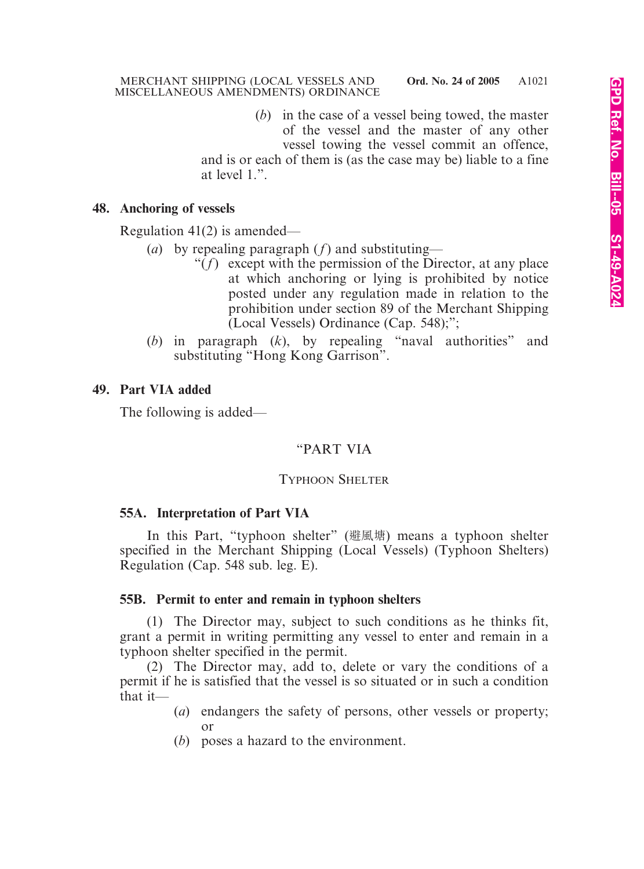(*b*) in the case of a vessel being towed, the master of the vessel and the master of any other vessel towing the vessel commit an offence,

and is or each of them is (as the case may be) liable to a fine at level 1.".

# **48. Anchoring of vessels**

Regulation 41(2) is amended—

- (*a*) by repealing paragraph (*f*) and substituting—
	- " $(f)$  except with the permission of the Director, at any place" at which anchoring or lying is prohibited by notice posted under any regulation made in relation to the prohibition under section 89 of the Merchant Shipping (Local Vessels) Ordinance (Cap. 548);";
- (*b*) in paragraph (*k*), by repealing "naval authorities" and substituting "Hong Kong Garrison".

#### **49. Part VIA added**

The following is added—

# "PART VIA

#### TYPHOON SHELTER

#### **55A. Interpretation of Part VIA**

In this Part, "typhoon shelter" (避風塘) means a typhoon shelter specified in the Merchant Shipping (Local Vessels) (Typhoon Shelters) Regulation (Cap. 548 sub. leg. E).

#### **55B. Permit to enter and remain in typhoon shelters**

(1) The Director may, subject to such conditions as he thinks fit, grant a permit in writing permitting any vessel to enter and remain in a typhoon shelter specified in the permit.

(2) The Director may, add to, delete or vary the conditions of a permit if he is satisfied that the vessel is so situated or in such a condition that it—

- (*a*) endangers the safety of persons, other vessels or property; or
- (*b*) poses a hazard to the environment.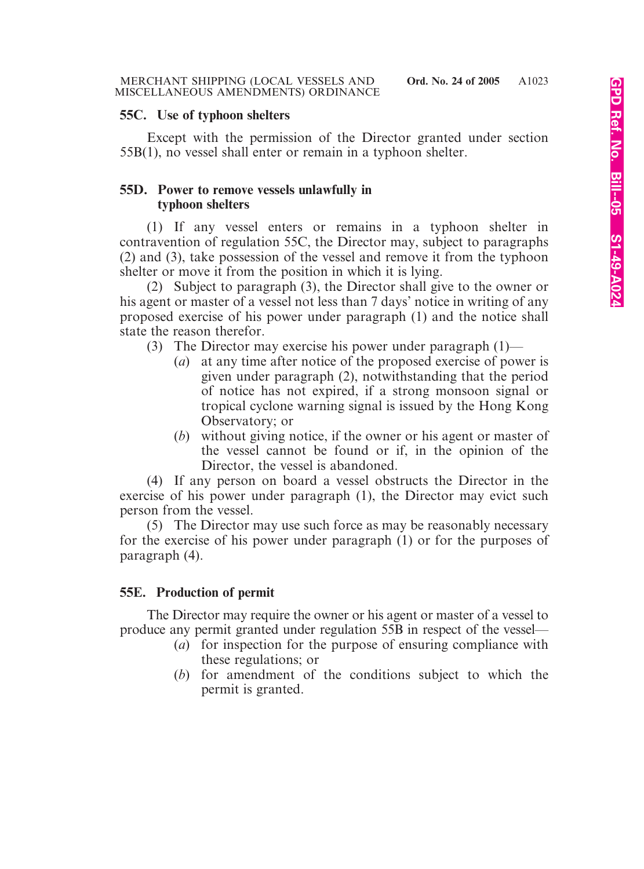#### **55C. Use of typhoon shelters**

Except with the permission of the Director granted under section 55B(1), no vessel shall enter or remain in a typhoon shelter.

# **55D. Power to remove vessels unlawfully in typhoon shelters**

(1) If any vessel enters or remains in a typhoon shelter in contravention of regulation 55C, the Director may, subject to paragraphs (2) and (3), take possession of the vessel and remove it from the typhoon shelter or move it from the position in which it is lying.

(2) Subject to paragraph (3), the Director shall give to the owner or his agent or master of a vessel not less than 7 days' notice in writing of any proposed exercise of his power under paragraph (1) and the notice shall state the reason therefor.

- (3) The Director may exercise his power under paragraph (1)—
	- (*a*) at any time after notice of the proposed exercise of power is given under paragraph (2), notwithstanding that the period of notice has not expired, if a strong monsoon signal or tropical cyclone warning signal is issued by the Hong Kong Observatory; or
	- (*b*) without giving notice, if the owner or his agent or master of the vessel cannot be found or if, in the opinion of the Director, the vessel is abandoned.

(4) If any person on board a vessel obstructs the Director in the exercise of his power under paragraph (1), the Director may evict such person from the vessel.

(5) The Director may use such force as may be reasonably necessary for the exercise of his power under paragraph (1) or for the purposes of paragraph (4).

# **55E. Production of permit**

The Director may require the owner or his agent or master of a vessel to produce any permit granted under regulation 55B in respect of the vessel—

- (*a*) for inspection for the purpose of ensuring compliance with these regulations; or
- (*b*) for amendment of the conditions subject to which the permit is granted.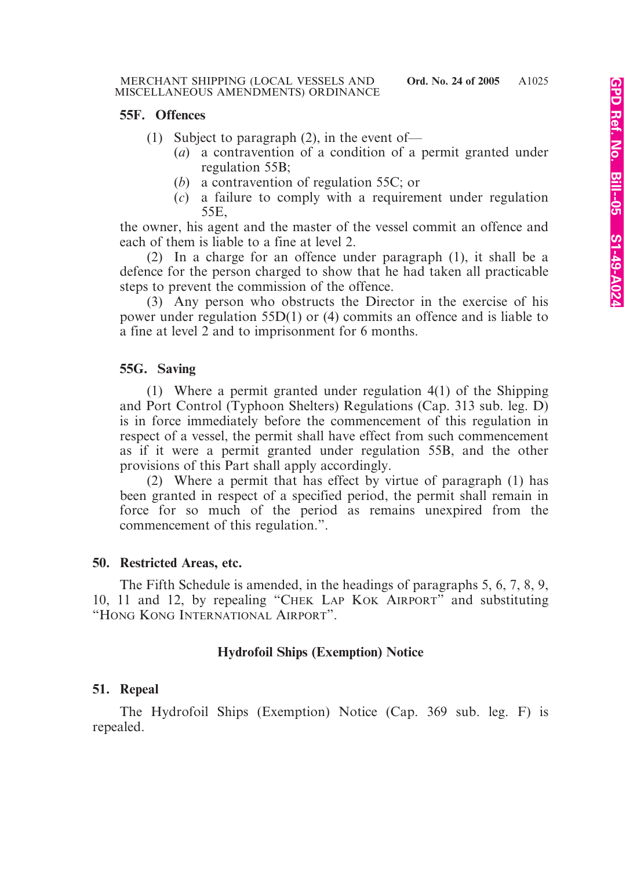#### **55F. Offences**

- (1) Subject to paragraph (2), in the event of—
	- (*a*) a contravention of a condition of a permit granted under regulation 55B;
	- (*b*) a contravention of regulation 55C; or
	- (*c*) a failure to comply with a requirement under regulation 55E,

the owner, his agent and the master of the vessel commit an offence and each of them is liable to a fine at level 2.

(2) In a charge for an offence under paragraph (1), it shall be a defence for the person charged to show that he had taken all practicable steps to prevent the commission of the offence.

(3) Any person who obstructs the Director in the exercise of his power under regulation 55D(1) or (4) commits an offence and is liable to a fine at level 2 and to imprisonment for 6 months.

# **55G. Saving**

(1) Where a permit granted under regulation 4(1) of the Shipping and Port Control (Typhoon Shelters) Regulations (Cap. 313 sub. leg. D) is in force immediately before the commencement of this regulation in respect of a vessel, the permit shall have effect from such commencement as if it were a permit granted under regulation 55B, and the other provisions of this Part shall apply accordingly.

(2) Where a permit that has effect by virtue of paragraph (1) has been granted in respect of a specified period, the permit shall remain in force for so much of the period as remains unexpired from the commencement of this regulation.".

# **50. Restricted Areas, etc.**

The Fifth Schedule is amended, in the headings of paragraphs 5, 6, 7, 8, 9, 10, 11 and 12, by repealing "CHEK LAP KOK AIRPORT" and substituting "HONG KONG INTERNATIONAL AIRPORT".

# **Hydrofoil Ships (Exemption) Notice**

# **51. Repeal**

The Hydrofoil Ships (Exemption) Notice (Cap. 369 sub. leg. F) is repealed.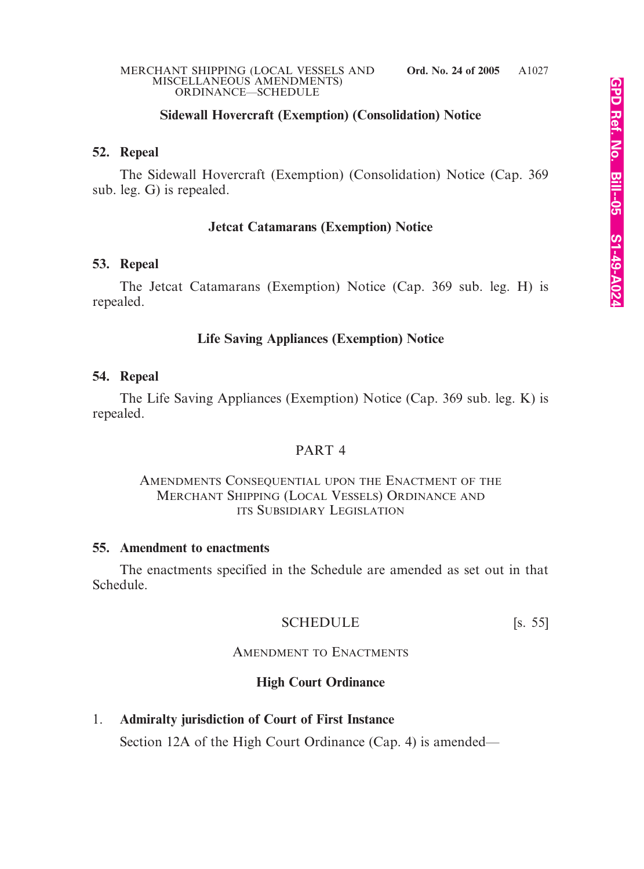#### MERCHANT SHIPPING (LOCAL VESSELS AND **Ord. No. 24 of 2005** MISCELLANEOUS AMENDMENTS) ORDINANCE—SCHEDULE

# **Sidewall Hovercraft (Exemption) (Consolidation) Notice**

# **52. Repeal**

The Sidewall Hovercraft (Exemption) (Consolidation) Notice (Cap. 369 sub. leg. G) is repealed.

# **Jetcat Catamarans (Exemption) Notice**

# **53. Repeal**

The Jetcat Catamarans (Exemption) Notice (Cap. 369 sub. leg. H) is repealed.

# **Life Saving Appliances (Exemption) Notice**

# **54. Repeal**

The Life Saving Appliances (Exemption) Notice (Cap. 369 sub. leg. K) is repealed.

# PART 4

# AMENDMENTS CONSEQUENTIAL UPON THE ENACTMENT OF THE MERCHANT SHIPPING (LOCAL VESSELS) ORDINANCE AND ITS SUBSIDIARY LEGISLATION

# **55. Amendment to enactments**

The enactments specified in the Schedule are amended as set out in that Schedule.

# SCHEDULE [s. 55]

# AMENDMENT TO ENACTMENTS

# **High Court Ordinance**

# 1. **Admiralty jurisdiction of Court of First Instance**

Section 12A of the High Court Ordinance (Cap. 4) is amended—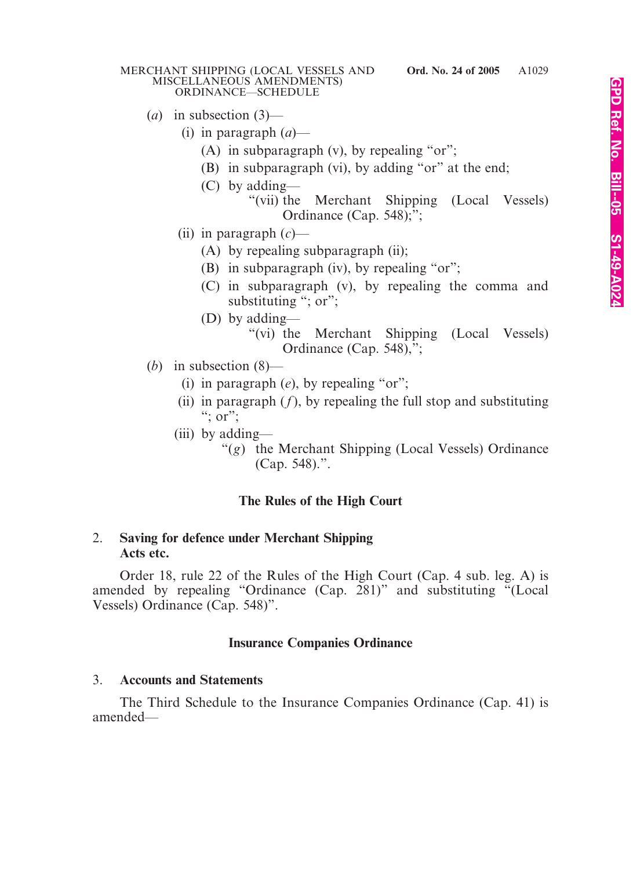#### MERCHANT SHIPPING (LOCAL VESSELS AND MISCELLANEOUS AMENDMENTS) ORDINANCE—SCHEDULE

- (*a*) in subsection (3)—
	- (i) in paragraph (*a*)—
		- (A) in subparagraph  $(v)$ , by repealing "or";
		- (B) in subparagraph (vi), by adding "or" at the end;
		- (C) by adding—
			- "(vii) the Merchant Shipping (Local Vessels) Ordinance (Cap. 548);";
	- (ii) in paragraph (*c*)—
		- (A) by repealing subparagraph (ii);
		- (B) in subparagraph (iv), by repealing "or";
		- (C) in subparagraph (v), by repealing the comma and substituting "; or";
		- (D) by adding—
			- "(vi) the Merchant Shipping (Local Vessels) Ordinance (Cap. 548),";
- (*b*) in subsection (8)—
	- (i) in paragraph (*e*), by repealing "or";
	- (ii) in paragraph  $(f)$ , by repealing the full stop and substituting  $\dddot{ }$ ; or";
	- (iii) by adding—
		- "(*g*) the Merchant Shipping (Local Vessels) Ordinance (Cap. 548).".

# **The Rules of the High Court**

#### 2. **Saving for defence under Merchant Shipping Acts etc.**

Order 18, rule 22 of the Rules of the High Court (Cap. 4 sub. leg. A) is amended by repealing "Ordinance (Cap. 281)" and substituting "(Local Vessels) Ordinance (Cap. 548)".

# **Insurance Companies Ordinance**

#### 3. **Accounts and Statements**

The Third Schedule to the Insurance Companies Ordinance (Cap. 41) is amended—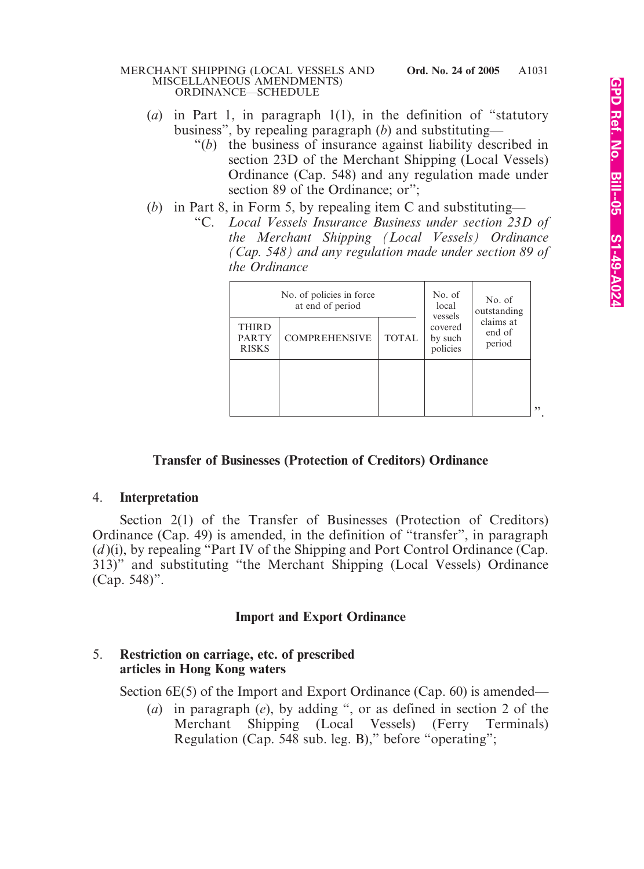#### MERCHANT SHIPPING (LOCAL VESSELS AND **Ord. No. 24 of 2005** MISCELLANEOUS AMENDMENTS) ORDINANCE—SCHEDULE

- (*a*) in Part 1, in paragraph 1(1), in the definition of "statutory business", by repealing paragraph (*b*) and substituting—
	- "(*b*) the business of insurance against liability described in section 23D of the Merchant Shipping (Local Vessels) Ordinance (Cap. 548) and any regulation made under section 89 of the Ordinance; or";
- (*b*) in Part 8, in Form 5, by repealing item C and substituting—
	- "C. *Local Vessels Insurance Business under section 23D of the Merchant Shipping (Local Vessels) Ordinance (Cap. 548) and any regulation made under section 89 of the Ordinance*

| No. of policies in force<br>at end of period |                      |              | No. of<br>local<br>vessels     | No. of<br>outstanding         |     |
|----------------------------------------------|----------------------|--------------|--------------------------------|-------------------------------|-----|
| <b>THIRD</b><br><b>PARTY</b><br><b>RISKS</b> | <b>COMPREHENSIVE</b> | <b>TOTAL</b> | covered<br>by such<br>policies | claims at<br>end of<br>period |     |
|                                              |                      |              |                                |                               |     |
|                                              |                      |              |                                |                               | و و |

# **Transfer of Businesses (Protection of Creditors) Ordinance**

#### 4. **Interpretation**

Section 2(1) of the Transfer of Businesses (Protection of Creditors) Ordinance (Cap. 49) is amended, in the definition of "transfer", in paragraph (*d* )(i), by repealing "Part IV of the Shipping and Port Control Ordinance (Cap. 313)" and substituting "the Merchant Shipping (Local Vessels) Ordinance (Cap. 548)".

#### **Import and Export Ordinance**

# 5. **Restriction on carriage, etc. of prescribed articles in Hong Kong waters**

Section 6E(5) of the Import and Export Ordinance (Cap. 60) is amended—

(*a*) in paragraph (*e*), by adding ", or as defined in section 2 of the Merchant Shipping (Local Vessels) (Ferry Terminals) Regulation (Cap. 548 sub. leg. B)," before "operating";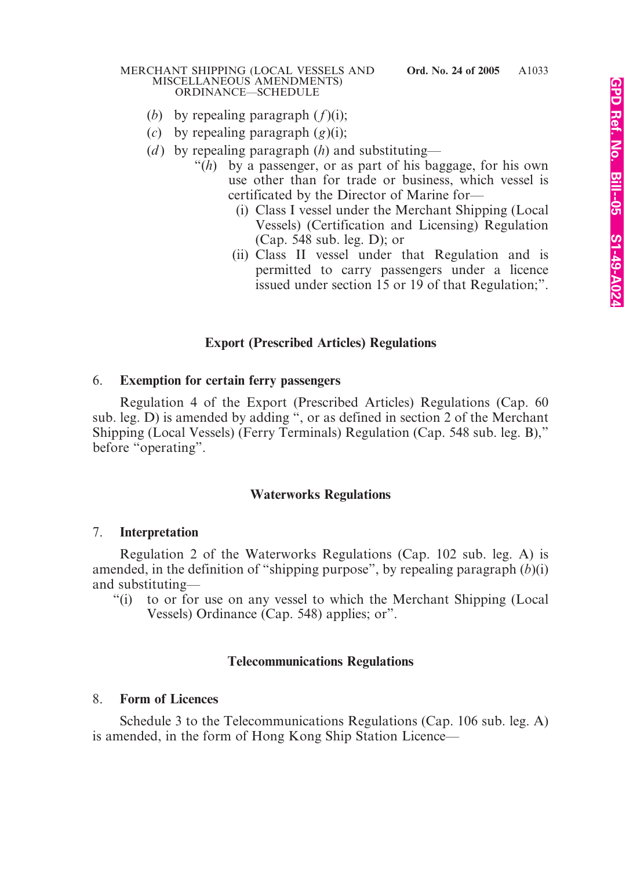#### MERCHANT SHIPPING (LOCAL VESSELS AND **Ord. No. 24 of 2005** MISCELLANEOUS AMENDMENTS) ORDINANCE—SCHEDULE

- (*b*) by repealing paragraph (*f*)(i);
- (*c*) by repealing paragraph (*g*)(i);
- (*d*) by repealing paragraph (*h*) and substituting—
	- "(*h*) by a passenger, or as part of his baggage, for his own use other than for trade or business, which vessel is certificated by the Director of Marine for—
		- (i) Class I vessel under the Merchant Shipping (Local Vessels) (Certification and Licensing) Regulation (Cap. 548 sub. leg. D); or
		- (ii) Class II vessel under that Regulation and is permitted to carry passengers under a licence issued under section 15 or 19 of that Regulation;".

# **Export (Prescribed Articles) Regulations**

#### 6. **Exemption for certain ferry passengers**

Regulation 4 of the Export (Prescribed Articles) Regulations (Cap. 60 sub. leg. D) is amended by adding ", or as defined in section 2 of the Merchant Shipping (Local Vessels) (Ferry Terminals) Regulation (Cap. 548 sub. leg. B)," before "operating".

# **Waterworks Regulations**

#### 7. **Interpretation**

Regulation 2 of the Waterworks Regulations (Cap. 102 sub. leg. A) is amended, in the definition of "shipping purpose", by repealing paragraph (*b*)(i) and substituting—

"(i) to or for use on any vessel to which the Merchant Shipping (Local Vessels) Ordinance (Cap. 548) applies; or".

#### **Telecommunications Regulations**

#### 8. **Form of Licences**

Schedule 3 to the Telecommunications Regulations (Cap. 106 sub. leg. A) is amended, in the form of Hong Kong Ship Station Licence—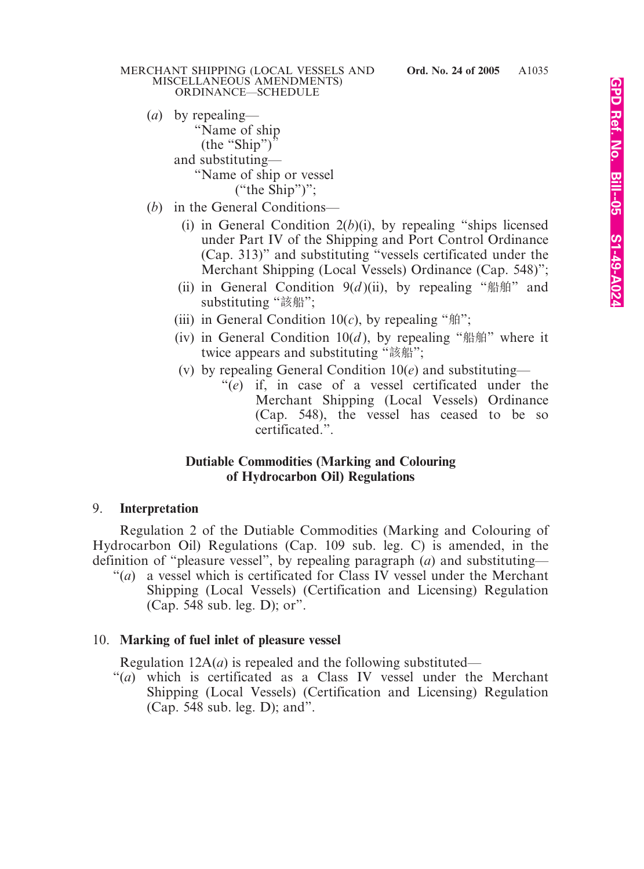- (*a*) by repealing— "Name of ship  $(the "Ship")'$ and substituting— "Name of ship or vessel ("the Ship")";
- (*b*) in the General Conditions—
	- (i) in General Condition 2(*b*)(i), by repealing "ships licensed under Part IV of the Shipping and Port Control Ordinance (Cap. 313)" and substituting "vessels certificated under the Merchant Shipping (Local Vessels) Ordinance (Cap. 548)";
	- (ii) in General Condition  $9(d)$ (ii), by repealing "船舶" and substituting "該船";
	- (iii) in General Condition  $10(c)$ , by repealing " $\text{m}$ ";
	- (iv) in General Condition  $10(d)$ , by repealing "船舶" where it twice appears and substituting "該船";
	- (v) by repealing General Condition 10(*e*) and substituting—
		- "(*e*) if, in case of a vessel certificated under the Merchant Shipping (Local Vessels) Ordinance (Cap. 548), the vessel has ceased to be so certificated.".

#### **Dutiable Commodities (Marking and Colouring of Hydrocarbon Oil) Regulations**

# 9. **Interpretation**

Regulation 2 of the Dutiable Commodities (Marking and Colouring of Hydrocarbon Oil) Regulations (Cap. 109 sub. leg. C) is amended, in the definition of "pleasure vessel", by repealing paragraph (*a*) and substituting—

"(*a*) a vessel which is certificated for Class IV vessel under the Merchant Shipping (Local Vessels) (Certification and Licensing) Regulation (Cap. 548 sub. leg. D); or".

# 10. **Marking of fuel inlet of pleasure vessel**

Regulation 12A(*a*) is repealed and the following substituted—

"(*a*) which is certificated as a Class IV vessel under the Merchant Shipping (Local Vessels) (Certification and Licensing) Regulation (Cap. 548 sub. leg. D); and".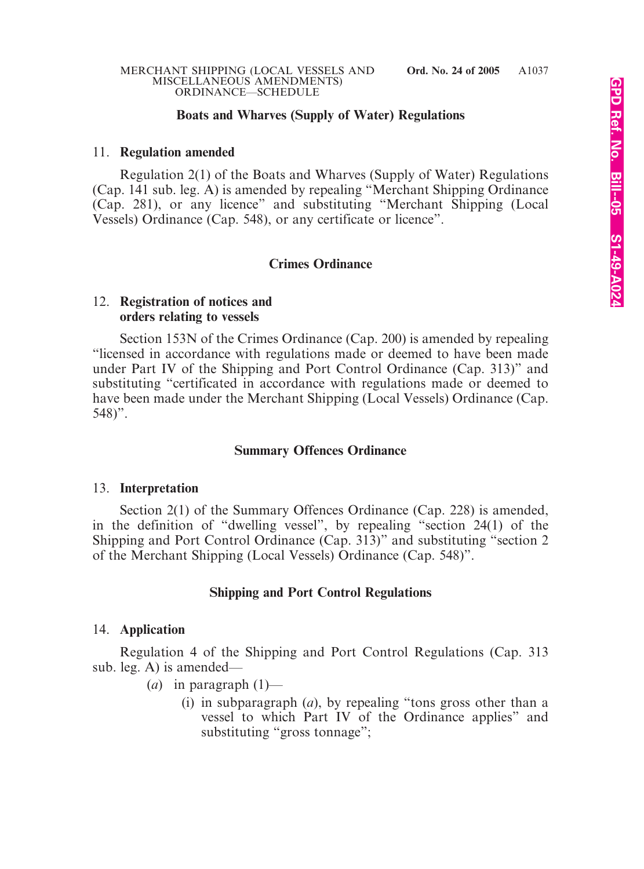# **Boats and Wharves (Supply of Water) Regulations**

#### 11. **Regulation amended**

Regulation 2(1) of the Boats and Wharves (Supply of Water) Regulations (Cap. 141 sub. leg. A) is amended by repealing "Merchant Shipping Ordinance (Cap. 281), or any licence" and substituting "Merchant Shipping (Local Vessels) Ordinance (Cap. 548), or any certificate or licence".

# **Crimes Ordinance**

# 12. **Registration of notices and orders relating to vessels**

Section 153N of the Crimes Ordinance (Cap. 200) is amended by repealing "licensed in accordance with regulations made or deemed to have been made under Part IV of the Shipping and Port Control Ordinance (Cap. 313)" and substituting "certificated in accordance with regulations made or deemed to have been made under the Merchant Shipping (Local Vessels) Ordinance (Cap.  $548$ ".

# **Summary Offences Ordinance**

#### 13. **Interpretation**

Section 2(1) of the Summary Offences Ordinance (Cap. 228) is amended, in the definition of "dwelling vessel", by repealing "section 24(1) of the Shipping and Port Control Ordinance (Cap. 313)" and substituting "section 2 of the Merchant Shipping (Local Vessels) Ordinance (Cap. 548)".

# **Shipping and Port Control Regulations**

#### 14. **Application**

Regulation 4 of the Shipping and Port Control Regulations (Cap. 313 sub. leg. A) is amended—

- (*a*) in paragraph (1)—
	- (i) in subparagraph (*a*), by repealing "tons gross other than a vessel to which Part IV of the Ordinance applies" and substituting "gross tonnage";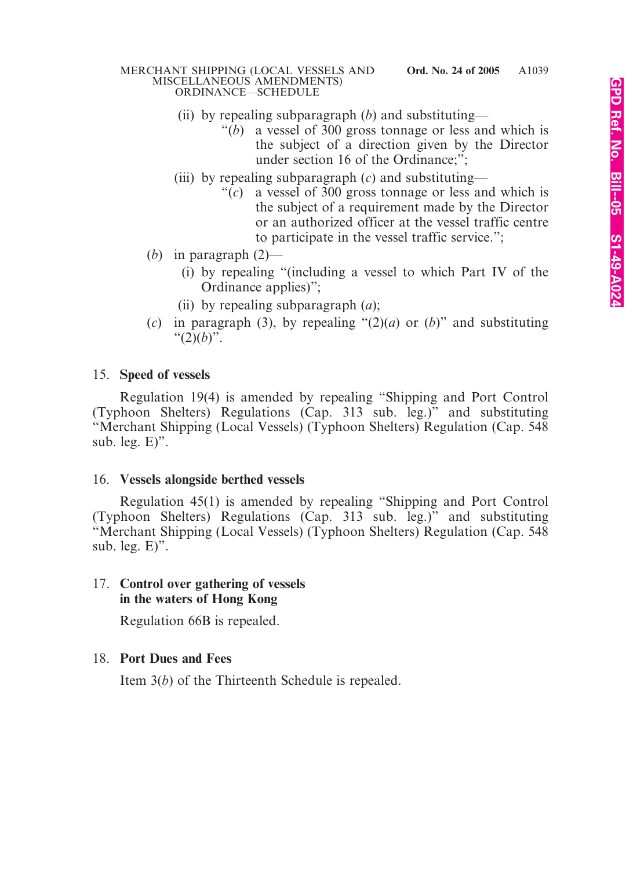#### MERCHANT SHIPPING (LOCAL VESSELS AND **Ord. No. 24 of 2005** MISCELLANEOUS AMENDMENTS) ORDINANCE—SCHEDULE

- (ii) by repealing subparagraph (*b*) and substituting—
	- "(*b*) a vessel of 300 gross tonnage or less and which is the subject of a direction given by the Director under section 16 of the Ordinance;";
- (iii) by repealing subparagraph (*c*) and substituting—
	- "(*c*) a vessel of 300 gross tonnage or less and which is the subject of a requirement made by the Director or an authorized officer at the vessel traffic centre to participate in the vessel traffic service.";
- (*b*) in paragraph (2)—
	- (i) by repealing "(including a vessel to which Part IV of the Ordinance applies)";
	- (ii) by repealing subparagraph (*a*);
- (*c*) in paragraph (3), by repealing "(2)(*a*) or (*b*)" and substituting " $(2)(b)$ ".

# 15. **Speed of vessels**

Regulation 19(4) is amended by repealing "Shipping and Port Control (Typhoon Shelters) Regulations (Cap. 313 sub. leg.)" and substituting "Merchant Shipping (Local Vessels) (Typhoon Shelters) Regulation (Cap. 548 sub. leg. E)".

# 16. **Vessels alongside berthed vessels**

Regulation 45(1) is amended by repealing "Shipping and Port Control (Typhoon Shelters) Regulations (Cap. 313 sub. leg.)" and substituting "Merchant Shipping (Local Vessels) (Typhoon Shelters) Regulation (Cap. 548 sub. leg. E)".

# 17. **Control over gathering of vessels in the waters of Hong Kong**

Regulation 66B is repealed.

# 18. **Port Dues and Fees**

Item 3(*b*) of the Thirteenth Schedule is repealed.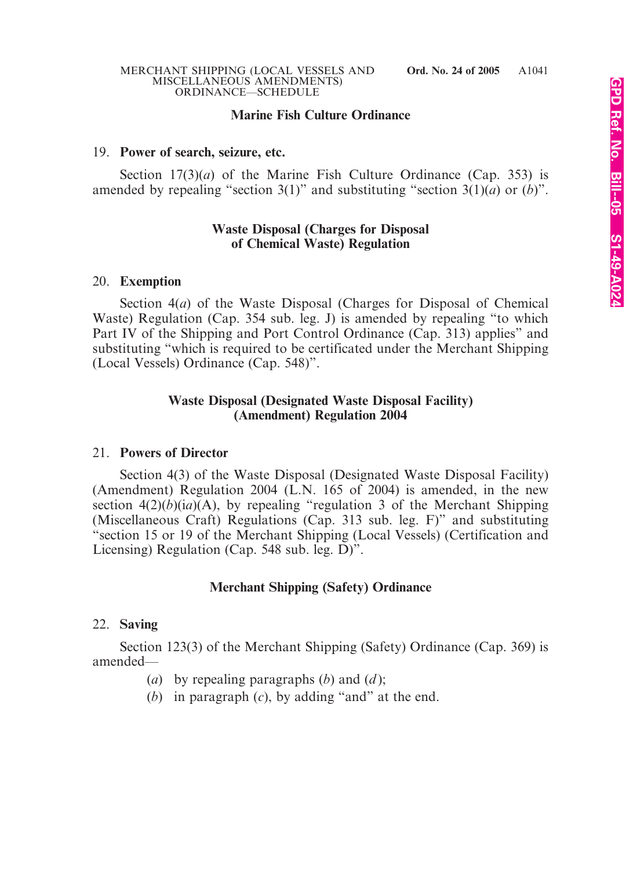# **Marine Fish Culture Ordinance**

#### 19. **Power of search, seizure, etc.**

Section 17(3)(*a*) of the Marine Fish Culture Ordinance (Cap. 353) is amended by repealing "section 3(1)" and substituting "section 3(1)(*a*) or (*b*)".

#### **Waste Disposal (Charges for Disposal of Chemical Waste) Regulation**

#### 20. **Exemption**

Section 4(*a*) of the Waste Disposal (Charges for Disposal of Chemical Waste) Regulation (Cap. 354 sub. leg. J) is amended by repealing "to which Part IV of the Shipping and Port Control Ordinance (Cap. 313) applies" and substituting "which is required to be certificated under the Merchant Shipping (Local Vessels) Ordinance (Cap. 548)".

#### **Waste Disposal (Designated Waste Disposal Facility) (Amendment) Regulation 2004**

#### 21. **Powers of Director**

Section 4(3) of the Waste Disposal (Designated Waste Disposal Facility) (Amendment) Regulation 2004 (L.N. 165 of 2004) is amended, in the new section  $4(2)(b)(ia)(A)$ , by repealing "regulation 3 of the Merchant Shipping (Miscellaneous Craft) Regulations (Cap. 313 sub. leg. F)" and substituting "section 15 or 19 of the Merchant Shipping (Local Vessels) (Certification and Licensing) Regulation (Cap. 548 sub. leg. D)".

# **Merchant Shipping (Safety) Ordinance**

#### 22. **Saving**

Section 123(3) of the Merchant Shipping (Safety) Ordinance (Cap. 369) is amended—

- (*a*) by repealing paragraphs (*b*) and (*d* );
- (*b*) in paragraph (*c*), by adding "and" at the end.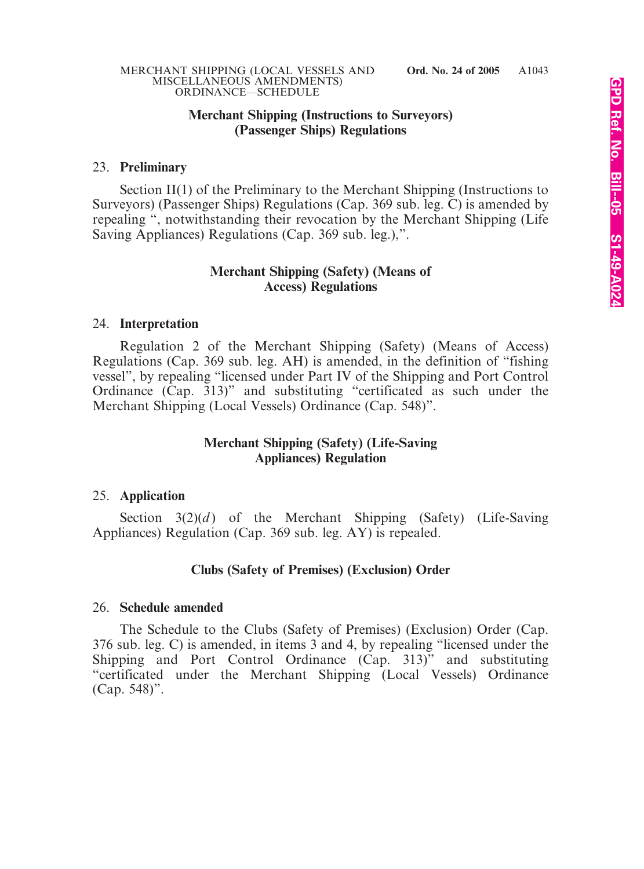#### **Merchant Shipping (Instructions to Surveyors) (Passenger Ships) Regulations**

#### 23. **Preliminary**

Section II(1) of the Preliminary to the Merchant Shipping (Instructions to Surveyors) (Passenger Ships) Regulations (Cap. 369 sub. leg. C) is amended by repealing ", notwithstanding their revocation by the Merchant Shipping (Life Saving Appliances) Regulations (Cap. 369 sub. leg.),".

#### **Merchant Shipping (Safety) (Means of Access) Regulations**

#### 24. **Interpretation**

Regulation 2 of the Merchant Shipping (Safety) (Means of Access) Regulations (Cap. 369 sub. leg. AH) is amended, in the definition of "fishing vessel", by repealing "licensed under Part IV of the Shipping and Port Control Ordinance (Cap. 313)" and substituting "certificated as such under the Merchant Shipping (Local Vessels) Ordinance (Cap. 548)".

#### **Merchant Shipping (Safety) (Life-Saving Appliances) Regulation**

#### 25. **Application**

Section  $3(2)(d)$  of the Merchant Shipping (Safety) (Life-Saving Appliances) Regulation (Cap. 369 sub. leg. AY) is repealed.

#### **Clubs (Safety of Premises) (Exclusion) Order**

#### 26. **Schedule amended**

The Schedule to the Clubs (Safety of Premises) (Exclusion) Order (Cap. 376 sub. leg. C) is amended, in items 3 and 4, by repealing "licensed under the Shipping and Port Control Ordinance (Cap. 313)" and substituting "certificated under the Merchant Shipping (Local Vessels) Ordinance (Cap. 548)".